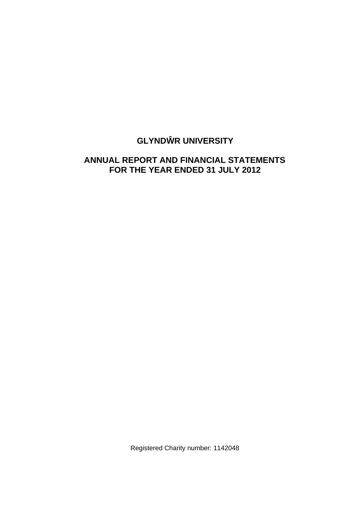# **GLYND R UNIVERSITY**

# **ANNUAL REPORT AND FINANCIAL STATEMENTS FOR THE YEAR ENDED 31 JULY 2012**

Registered Charity number: 1142048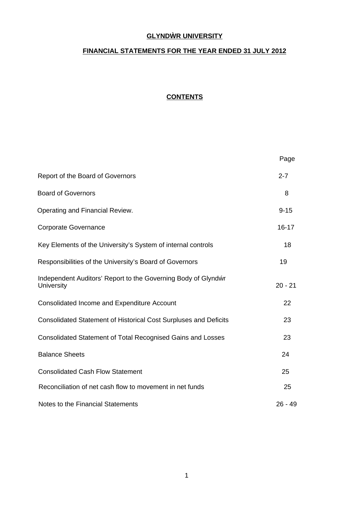## **GLYND R UNIVERSITY**

# **FINANCIAL STATEMENTS FOR THE YEAR ENDED 31 JULY 2012**

# **CONTENTS**

|                                                                             | Page      |
|-----------------------------------------------------------------------------|-----------|
| Report of the Board of Governors                                            | $2 - 7$   |
| <b>Board of Governors</b>                                                   | 8         |
| Operating and Financial Review.                                             | $9 - 15$  |
| <b>Corporate Governance</b>                                                 | $16 - 17$ |
| Key Elements of the University's System of internal controls                | 18        |
| Responsibilities of the University's Board of Governors                     | 19        |
| Independent Auditors' Report to the Governing Body of Glynd r<br>University | $20 - 21$ |
| Consolidated Income and Expenditure Account                                 | 22        |
| <b>Consolidated Statement of Historical Cost Surpluses and Deficits</b>     | 23        |
| Consolidated Statement of Total Recognised Gains and Losses                 | 23        |
| <b>Balance Sheets</b>                                                       | 24        |
| <b>Consolidated Cash Flow Statement</b>                                     | 25        |
| Reconciliation of net cash flow to movement in net funds                    | 25        |
| Notes to the Financial Statements                                           | $26 - 49$ |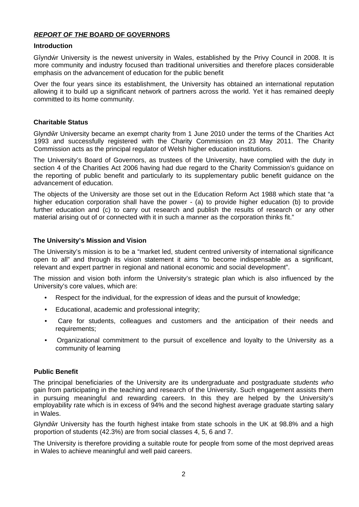## *REPORT OF THE* **BOARD OF GOVERNORS**

### **Introduction**

Gîynd r University is the newest university in Wales, established by the Privy Council in 2008. It is more community and industry focused than traditional universities and therefore places considerable emphasis on the advancement of education for the public benefit

Over the four years since its establishment, the University has obtained an international reputation allowing it to build up a significant network of partners across the world. Yet it has remained deeply committed to its home community.

## **Charitable Status**

Glynd r University became an exempt charity from 1 June 2010 under the terms of the Charities Act 1993 and successfully registered with the Charity Commission on 23 May 2011. The Charity Commission acts as the principal regulator of Welsh higher education institutions.

The University's Board of Governors, as trustees of the University, have complied with the duty in section 4 of the Charities Act 2006 having had due regard to the Charity Commission's guidance on the reporting of public benefit and particularly to its supplementary public benefit guidance on the advancement of education.

The objects of the University are those set out in the Education Reform Act 1988 which state that "a higher education corporation shall have the power - (a) to provide higher education (b) to provide further education and (c) to carry out research and publish the results of research or any other material arising out of or connected with it in such a manner as the corporation thinks fit."

## **The University's Mission and Vision**

The University's mission is to be a "market led, student centred university of international significance open to all" and through its vision statement it aims "to become indispensable as a significant, relevant and expert partner in regional and national economic and social development".

The mission and vision both inform the University's strategic plan which is also influenced by the University's core values, which are:

- Respect for the individual, for the expression of ideas and the pursuit of knowledge;
- Educational, academic and professional integrity;
- Care for students, colleagues and customers and the anticipation of their needs and requirements:
- Organizational commitment to the pursuit of excellence and loyalty to the University as a community of learning

## **Public Benefit**

The principal beneficiaries of the University are its undergraduate and postgraduate *students who* gain from participating in the teaching and research of the University. Such engagement assists them in pursuing meaningful and rewarding careers. In this they are helped by the University's employability rate which is in excess of 94% and the second highest average graduate starting salary in Wales.

Glynd r University has the fourth highest intake from state schools in the UK at 98.8% and a high proportion of students (42.3%) are from social classes 4, 5, 6 and 7.

The University is therefore providing a suitable route for people from some of the most deprived areas in Wales to achieve meaningful and well paid careers.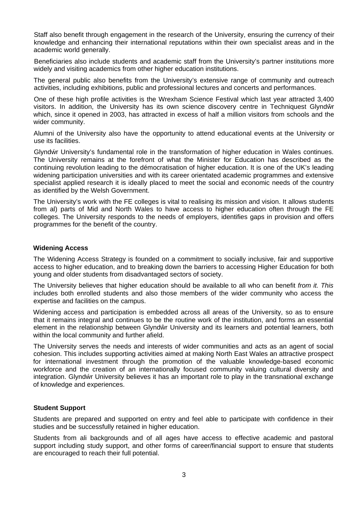Staff also benefit through engagement in the research of the University, ensuring the currency of their knowledge and enhancing their international reputations within their own specialist areas and in the academic world generally.

Beneficiaries also include students and academic staff from the University's partner institutions more widely and visiting academics from other higher education institutions.

The general public also benefits from the University's extensive range of community and outreach activities, including exhibitions, public and professional lectures and concerts and performances.

One of these high profile activities is the Wrexham Science Festival which last year attracted 3,400 visitors. In addition, the University has its own science discovery centre in Techniquest Glynd r which, since it opened in 2003, has attracted in excess of half a million visitors from schools and the wider community.

Alumni of the University also have the opportunity to attend educational events at the University or use its facilities.

Glynd r University's fundamental role in the transformation of higher education in Wales continues. The University remains at the forefront of what the Minister for Education has described as the continuing revolution leading to the démocratisation of higher education. It is one of the UK's leading widening participation universities and with its career orientated academic programmes and extensive specialist applied research it is ideally placed to meet the social and economic needs of the country as identified by the Welsh Government.

The University's work with the FE colleges is vital to realising its mission and vision. It allows students from al) parts of Mid and North Wales to have access to higher education often through the FE colleges. The University responds to the needs of employers, identifies gaps in provision and offers programmes for the benefit of the country.

## **Widening Access**

The Widening Access Strategy is founded on a commitment to socially inclusive, fair and supportive access to higher education, and to breaking down the barriers to accessing Higher Education for both young and older students from disadvantaged sectors of society.

The University believes that higher education should be available to all who can benefit *from it. This* includes both enrolled students and also those members of the wider community who access the expertise and facilities on the campus.

Widening access and participation is embedded across all areas of the University, so as to ensure that it remains integral and continues to be the routine work of the institution, and forms an essential element in the relationship between Glynd r University and its learners and potential learners, both within the local community and further afield.

The University serves the needs and interests of wider communities and acts as an agent of social cohesion. This includes supporting activities aimed at making North East Wales an attractive prospect for international investment through the promotion of the valuable knowledge-based economic workforce and the creation of an internationally focused community valuing cultural diversity and integration. Glynd r University believes it has an important role to play in the transnational exchange of knowledge and experiences.

## **Student Support**

Students are prepared and supported on entry and feel able to participate with confidence in their studies and be successfully retained in higher education.

Students from ali backgrounds and of all ages have access to effective academic and pastoral support including study support, and other forms of career/financial support to ensure that students are encouraged to reach their full potential.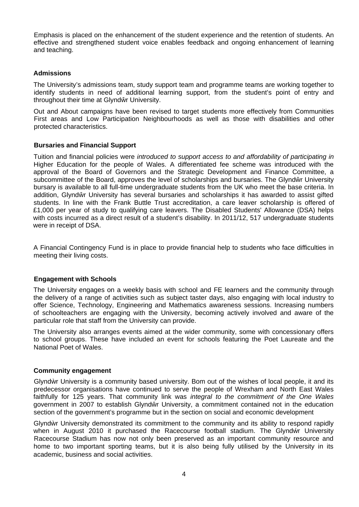Emphasis is placed on the enhancement of the student experience and the retention of students. An effective and strengthened student voice enables feedback and ongoing enhancement of learning and teaching.

### **Admissions**

The University's admissions team, study support team and programme teams are working together to identify students in need of additional learning support, from the student's point of entry and throughout their time at Glynd r University.

Out and About campaigns have been revised to target students more effectively from Communities First areas and Low Participation Neighbourhoods as well as those with disabilities and other protected characteristics.

## **Bursaries and Financial Support**

Tuition and financial policies were *introduced to support access to and affordability of participating in* Higher Education for the people of Wales. A differentiated fee scheme was introduced with the approval of the Board of Governors and the Strategic Development and Finance Committee, a subcommittee of the Board, approves the level of scholarships and bursaries. The Glynd r University bursary is available to all full-time undergraduate students from the UK who meet the base criteria. In addition, Glynd r University has several bursaries and scholarships it has awarded to assist gifted students. In line with the Frank Buttle Trust accreditation, a care leaver scholarship is offered of £1,000 per year of study to qualifying care leavers. The Disabled Students' Allowance (DSA) helps with costs incurred as a direct result of a student's disability. In 2011/12, 517 undergraduate students were in receipt of DSA.

A Financial Contingency Fund is in place to provide financial help to students who face difficulties in meeting their living costs.

#### **Engagement with Schools**

The University engages on a weekly basis with school and FE learners and the community through the delivery of a range of activities such as subject taster days, also engaging with local industry to offer Science, Technology, Engineering and Mathematics awareness sessions. Increasing numbers of schoolteachers are engaging with the University, becoming actively involved and aware of the particular role that staff from the University can provide.

The University also arranges events aimed at the wider community, some with concessionary offers to school groups. These have included an event for schools featuring the Poet Laureate and the National Poet of Wales.

#### **Community engagement**

Glynd r University is a community based university. Bom out of the wishes of local people, it and its predecessor organisations have continued to serve the people of Wrexham and North East Wales faithfully for 125 years. That community link was *integral to the commitment of the One Wales* government in 2007 to establish Glynd r University, a commitment contained not in the education section of the government's programme but in the section on social and economic development

Glynd r University demonstrated its commitment to the community and its ability to respond rapidly when in August 2010 it purchased the Racecourse football stadium. The Glynd r University Racecourse Stadium has now not only been preserved as an important community resource and home to two important sporting teams, but it is also being fully utilised by the University in its academic, business and social activities.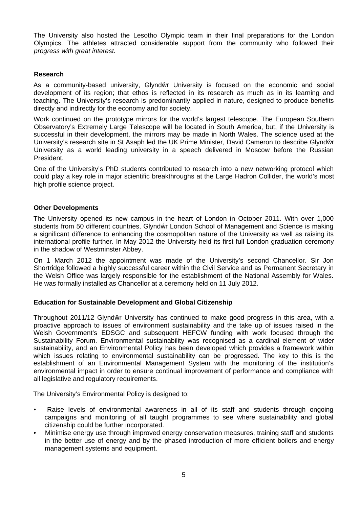The University also hosted the Lesotho Olympic team in their final preparations for the London Olympics. The athletes attracted considerable support from the community who followed their *progress with great interest.*

## **Research**

As a community-based university, Glynd r University is focused on the economic and social development of its region; that ethos is reflected in its research as much as in its learning and teaching. The University's research is predominantly applied in nature, designed to produce benefits directly and indirectly for the economy and for society.

Work continued on the prototype mirrors for the world's largest telescope. The European Southern Observatory's Extremely Large Telescope will be located in South America, but, if the University is successful in their development, the mirrors may be made in North Wales. The science used at the University's research site in St Asaph led the UK Prime Minister, David Cameron to describe Glynd r University as a world leading university in a speech delivered in Moscow before the Russian President.

One of the University's PhD students contributed to research into a new networking protocol which could play a key role in major scientific breakthroughs at the Large Hadron Collider, the world's most high profile science project.

## **Other Developments**

The University opened its new campus in the heart of London in October 2011. With over 1,000 students from 50 different countries, Glynd r London School of Management and Science is making a significant difference to enhancing the cosmopolitan nature of the University as well as raising its international profile further. In May 2012 the University held its first full London graduation ceremony in the shadow of Westminster Abbey.

On 1 March 2012 the appointment was made of the University's second Chancellor. Sir Jon Shortridge followed a highly successful career within the Civil Service and as Permanent Secretary in the Welsh Office was largely responsible for the establishment of the National Assembly for Wales. He was formally installed as Chancellor at a ceremony held on 11 July 2012.

## **Education for Sustainable Development and Global Citizenship**

Throughout 2011/12 Glynd r University has continued to make good progress in this area, with a proactive approach to issues of environment sustainability and the take up of issues raised in the Welsh Government's EDSGC and subsequent HEFCW funding with work focused through the Sustainability Forum. Environmental sustainability was recognised as a cardinal element of wider sustainability, and an Environmental Policy has been developed which provides a framework within which issues relating to environmental sustainability can be progressed. The key to this is the establishment of an Environmental Management System with the monitoring of the institution's environmental impact in order to ensure continual improvement of performance and compliance with all legislative and regulatory requirements.

The University's Environmental Policy is designed to:

- Raise levels of environmental awareness in all of its staff and students through ongoing campaigns and monitoring of all taught programmes to see where sustainability and global citizenship could be further incorporated.
- Minimise energy use through improved energy conservation measures, training staff and students in the better use of energy and by the phased introduction of more efficient boilers and energy management systems and equipment.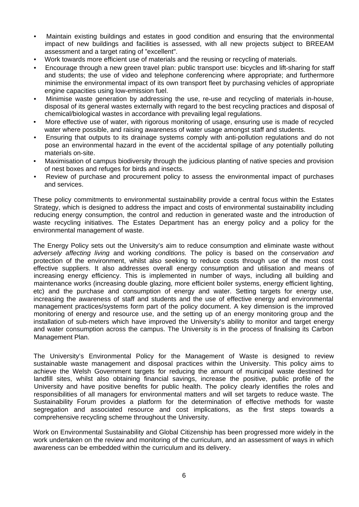- Maintain existing buildings and estates in good condition and ensuring that the environmental impact of new buildings and facilities is assessed, with all new projects subject to BREEAM assessment and a target rating of "excellent".
- Work towards more efficient use of materials and the reusing or recycling of materials.
- Encourage through a new green travel plan: public transport use: bicycles and lift-sharing for staff and students; the use of video and telephone conferencing where appropriate; and furthermore minimise the environmental impact of its own transport fleet by purchasing vehicles of appropriate engine capacities using low-emission fuel.
- Minimise waste generation by addressing the use, re-use and recycling of materials in-house, disposal of its general wastes externally with regard to the best recycling practices and disposal of chemical/biological wastes in accordance with prevailing legal regulations.
- More effective use of water, with rigorous monitoring of usage, ensuring use is made of recycled water where possible, and raising awareness of water usage amongst staff and students.
- Ensuring that outputs to its drainage systems comply with anti-pollution regulations and do not pose an environmental hazard in the event of the accidental spillage of any potentially polluting materials on-site.
- Maximisation of campus biodiversity through the judicious planting of native species and provision of nest boxes and refuges for birds and insects.
- Review of purchase and procurement policy to assess the environmental impact of purchases and services.

These policy commitments to environmental sustainability provide a central focus within the Estates Strategy, which is designed to address the impact and costs of environmental sustainability including reducing energy consumption, the control and reduction in generated waste and the introduction of waste recycling initiatives. The Estates Department has an energy policy and a policy for the environmental management of waste.

The Energy Policy sets out the University's aim to reduce consumption and eliminate waste without *adversely affecting living* and working *conditions.* The policy is based on the *conservation and* protection of the environment, whilst also seeking to reduce costs through use of the most cost effective suppliers. It also addresses overall energy consumption and utilisation and means of increasing energy efficiency. This is implemented in number of ways, including all building and maintenance works (increasing double glazing, more efficient boiler systems, energy efficient lighting, etc) and the purchase and consumption of energy and water. Setting targets for energy use, increasing the awareness of staff and students and the use of effective energy and environmental management practices/systems form part of the policy document. A key dimension is the improved monitoring of energy and resource use, and the setting up of an energy monitoring group and the installation of sub-meters which have improved the University's ability to monitor and target energy and water consumption across the campus. The University is in the process of finalising its Carbon Management Plan.

The University's Environmental Policy for the Management of Waste is designed to review sustainable waste management and disposal practices within the University. This policy aims to achieve the Welsh Government targets for reducing the amount of municipal waste destined for landfill sites, whilst also obtaining financial savings, increase the positive, public profile of the University and have positive benefits for public health. The policy clearly identifies the roles and responsibilities of all managers for environmental matters and will set targets to reduce waste. The Sustainability Forum provides a platform for the determination of effective methods for waste segregation and associated resource and cost implications, as the first steps towards a comprehensive recycling scheme throughout the University.

Work on Environmental Sustainability and Global Citizenship has been progressed more widely in the work undertaken on the review and monitoring of the curriculum, and an assessment of ways in which awareness can be embedded within the curriculum and its delivery.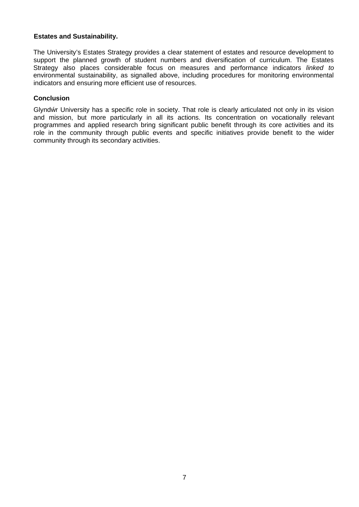## **Estates and Sustainability.**

The University's Estates Strategy provides a clear statement of estates and resource development to support the planned growth of student numbers and diversification of curriculum. The Estates Strategy also places considerable focus on measures and performance indicators *linked to* environmental sustainability, as signalled above, including procedures for monitoring environmental indicators and ensuring more efficient use of resources.

## **Conclusion**

Glynd r University has a specific role in society. That role is clearly articulated not only in its vision and mission, but more particularly in all its actions. Its concentration on vocationally relevant programmes and applied research bring significant public benefit through its core activities and its role in the community through public events and specific initiatives provide benefit to the wider community through its secondary activities.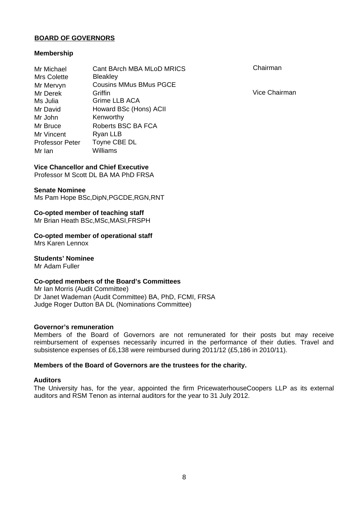### **BOARD OF GOVERNORS**

### **Membership**

| Mr Michael<br><b>Mrs Colette</b> | Cant BArch MBA MLoD MRICS<br><b>Bleakley</b> |
|----------------------------------|----------------------------------------------|
| Mr Mervyn                        | <b>Cousins MMus BMus PGCE</b>                |
| Mr Derek                         | Griffin                                      |
| Ms Julia                         | Grime LLB ACA                                |
| Mr David                         | Howard BSc (Hons) ACII                       |
| Mr John                          | Kenworthy                                    |
| Mr Bruce                         | Roberts BSC BA FCA                           |
| Mr Vincent                       | Ryan LLB                                     |
| <b>Professor Peter</b>           | Toyne CBE DL                                 |
| Mr Ian                           | Williams                                     |

Chairman

Vice Chairman

## **Vice Chancellor and Chief Executive**

Professor M Scott DL BA MA PhD FRSA

#### **Senate Nominee**

Ms Pam Hope BSc,DipN,PGCDE,RGN,RNT

**Co-opted member of teaching staff** Mr Brian Heath BSc,MSc,MASI,FRSPH

**Co-opted member of operational staff** Mrs Karen Lennox

**Students' Nominee** Mr Adam Fuller

## **Co-opted members of the Board's Committees**

Mr Ian Morris (Audit Committee) Dr Janet Wademan (Audit Committee) BA, PhD, FCMI, FRSA Judge Roger Dutton BA DL (Nominations Committee)

### **Governor's remuneration**

Members of the Board of Governors are not remunerated for their posts but may receive reimbursement of expenses necessarily incurred in the performance of their duties. Travel and subsistence expenses of £6,138 were reimbursed during 2011/12 (£5,186 in 2010/11).

#### **Members of the Board of Governors are the trustees for the charity.**

#### **Auditors**

The University has, for the year, appointed the firm PricewaterhouseCoopers LLP as its external auditors and RSM Tenon as internal auditors for the year to 31 July 2012.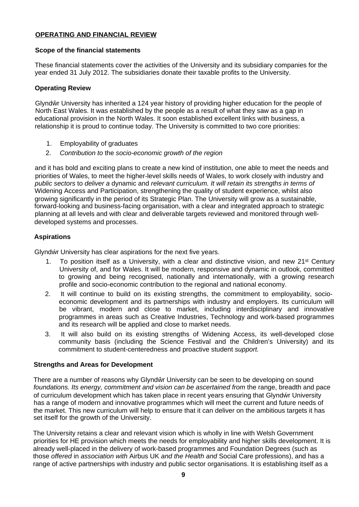## **OPERATING AND FINANCIAL REVIEW**

## **Scope of the financial statements**

These financial statements cover the activities of the University and its subsidiary companies for the year ended 31 July 2012. The subsidiaries donate their taxable profits to the University.

## **Operating Review**

Glynd r University has inherited a 124 year history of providing higher education for the people of North East Wales. It was established by the people as a result of what they saw as a gap in educational provision in the North Wales. It soon established excellent links with business, a relationship it is proud to continue today. The University is committed to two core priorities:

- 1. Employability of graduates
- 2. *Contribution to* the *socio-economic growth of the region*

and it has bold and exciting plans to create a new kind of institution, one able to meet the needs and priorities of Wales, to meet the higher-level skills needs of Wales, to work closely with industry and *public sectors* to *deliver a* dynamic and *relevant curriculum. It will retain its strengths in terms of* Widening Access and Participation, strengthening the quality of student experience, whilst also growing significantly in the period of its Strategic Plan. The University will grow as a sustainable, forward-looking and business-facing organisation, with a clear and integrated approach to strategic planning at all levels and with clear and deliverable targets reviewed and monitored through welldeveloped systems and processes.

## **Aspirations**

Glynd r University has clear aspirations for the next five years.

- 1. To position itself as a University, with a clear and distinctive vision, and new 21<sup>st</sup> Century University of, and for Wales. It will be modern, responsive and dynamic in outlook, committed to growing and being recognised, nationally and internationally, with a growing research profile and socio-economic contribution to the regional and national economy.
- 2. It will continue to build on its existing strengths, the commitment to employability, socioeconomic development and its partnerships with industry and employers. Its curriculum will be vibrant, modern and close to market, including interdisciplinary and innovative programmes in areas such as Creative Industries, Technology and work-based programmes and its research will be applied and close to market needs.
- 3. It will also build on its existing strengths of Widening Access, its well-developed close community basis (including the Science Festival and the Children's University) and its commitment to student-centeredness and proactive student *support.*

## **Strengths and Areas for Development**

There are a number of reasons why Glynd r University can be seen to be developing on sound *foundations. Its energy, commitment and vision can be ascertained from* the range, breadth and pace of curriculum development which has taken place in recent years ensuring that Glynd r University has a range of modern and innovative programmes which will meet the current and future needs of the market. This new curriculum will help to ensure that it can deliver on the ambitious targets it has set itself for the growth of the University.

The University retains a clear and relevant vision which is wholly in line with Welsh Government priorities for HE provision which meets the needs for employability and higher skills development. It is already well-placed in the delivery of work-based programmes and Foundation Degrees (such as those *offered* in *association with* Airbus UK *and the Health and* Social Care professions), and has a range of active partnerships with industry and public sector organisations. It is establishing itself as a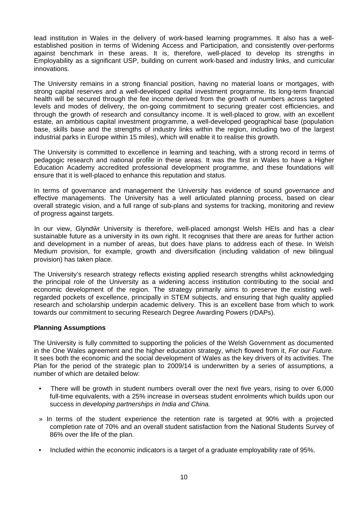lead institution in Wales in the delivery of work-based learning programmes. It also has a wellestablished position in terms of Widening Access and Participation, and consistently over-performs against benchmark in these areas. It is, therefore, well-placed to develop its strengths in Employability as a significant USP, building on current work-based and industry links, and curricular innovations.

The University remains in a strong financial position, having no material loans or mortgages, with strong capital reserves and a well-developed capital investment programme. Its long-term financial health will be secured through the fee income derived from the growth of numbers across targeted levels and modes of delivery, the on-going commitment to securing greater cost efficiencies, and through the growth of research and consultancy income. It is well-placed to grow, with an excellent estate, an ambitious capital investment programme, a well-developed geographical base (population base, skills base and the strengths of industry links within the region, including two of the largest industrial parks in Europe within 15 miles), which will enable it to realise this growth.

The University is committed to excellence in learning and teaching, with a strong record in terms of pedagogic research and national profile in these areas. It was the first in Wales to have a Higher Education Academy accredited professional development programme, and these foundations will ensure that it is well-placed to enhance this reputation and status.

In terms of governance and management the University has evidence of sound *governance and* effective managements. The University has a well articulated planning process, based on clear overall strategic vision, and a full range of sub-plans and systems for tracking, monitoring and review of progress against targets.

In our view, Glynd r University is therefore, well-placed amongst Welsh HEIs and has a clear sustainable future as a university in its own right. It recognises that there are areas for further action and development in a number of areas, but does have plans to address each of these. In Welsh Medium provision, for example, growth and diversification (including validation of new bilingual provision) has taken place.

The University's research strategy reflects existing applied research strengths whilst acknowledging the principal role of the University as a widening access institution contributing to the social and economic development of the region. The strategy primarily aims to preserve the existing wellregarded pockets of excellence, principally in STEM subjects, and ensuring that high quality applied research and scholarship underpin academic delivery. This is an excellent base from which to work towards our commitment to securing Research Degree Awarding Powers (rDAPs).

## **Planning Assumptions**

The University is fully committed to supporting the policies of the Welsh Government as documented in the One Wales agreement and the higher education strategy, which flowed from it, *For our Future.* It sees both the economic and the social development of Wales as the key drivers of its activities. The Plan for the period of the strategic plan to 2009/14 is underwritten by a series of assumptions, a number of which are detailed below:

- There will be growth in student numbers overall over the next five years, rising to over 6,000 full-time equivalents, with a 25% increase in overseas student enrolments which builds upon our success in *developing partnerships in India and China.*
- » In terms of the student experience the retention rate is targeted at 90% with a projected completion rate of 70% and an overall student satisfaction from the National Students Survey of 86% over the life of the plan.
- Included within the economic indicators is a target of a graduate employability rate of 95%.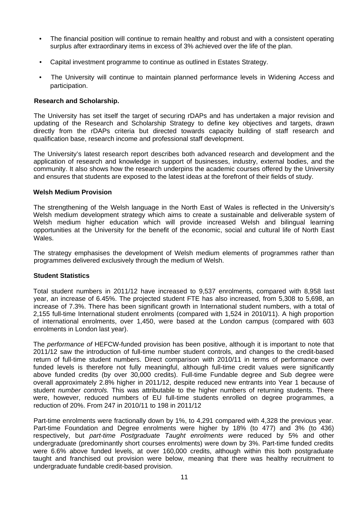- The financial position will continue to remain healthy and robust and with a consistent operating surplus after extraordinary items in excess of 3% achieved over the life of the plan.
- Capital investment programme to continue as outlined in Estates Strategy.
- The University will continue to maintain planned performance levels in Widening Access and participation.

### **Research and Scholarship.**

The University has set itself the target of securing rDAPs and has undertaken a major revision and updating of the Research and Scholarship Strategy to define key objectives and targets, drawn directly from the rDAPs criteria but directed towards capacity building of staff research and qualification base, research income and professional staff development.

The University's latest research report describes both advanced research and development and the application of research and knowledge in support of businesses, industry, external bodies, and the community. It also shows how the research underpins the academic courses offered by the University and ensures that students are exposed to the latest ideas at the forefront of their fields of study.

#### **Welsh Medium Provision**

The strengthening of the Welsh language in the North East of Wales is reflected in the University's Welsh medium development strategy which aims to create a sustainable and deliverable system of Welsh medium higher education which will provide increased Welsh and bilingual learning opportunities at the University for the benefit of the economic, social and cultural life of North East Wales.

The strategy emphasises the development of Welsh medium elements of programmes rather than programmes delivered exclusively through the medium of Welsh.

#### **Student Statistics**

Total student numbers in 2011/12 have increased to 9,537 enrolments, compared with 8,958 last year, an increase of 6.45%. The projected student FTE has also increased, from 5,308 to 5,698, an increase of 7.3%. There has been significant growth in International student numbers, with a total of 2,155 full-time International student enrolments (compared with 1,524 in 2010/11). A high proportion of international enrolments, over 1,450, were based at the London campus (compared with 603 enrolments in London last year).

The *performance of* HEFCW-funded provision has been positive, although it is important to note that 2011/12 saw the introduction of full-time number student controls, and changes to the credit-based return of full-time student numbers. Direct comparison with 2010/11 in terms of performance over funded levels is therefore not fully meaningful, although full-time credit values were significantly above funded credits (by over 30,000 credits). Full-time Fundable degree and Sub degree were overall approximately 2.8% higher in 2011/12, despite reduced new entrants into Year 1 because of student *number controls.* This was attributable to the higher numbers of returning students. There were, however, reduced numbers of EU full-time students enrolled on degree programmes, a reduction of 20%. From 247 in 2010/11 to 198 in 2011/12

Part-time enrolments were fractionally down by 1%, to 4,291 compared with 4,328 the previous year. Part-time Foundation and Degree enrolments were higher by 18% (to 477) and 3% (to 436) respectively, but *part-time Postgraduate Taught enrolments were* reduced by 5% and other undergraduate (predominantly short courses enrolments) were down by 3%. Part-time funded credits were 6.6% above funded levels, at over 160,000 credits, although within this both postgraduate taught and franchised out provision were below, meaning that there was healthy recruitment to undergraduate fundable credit-based provision.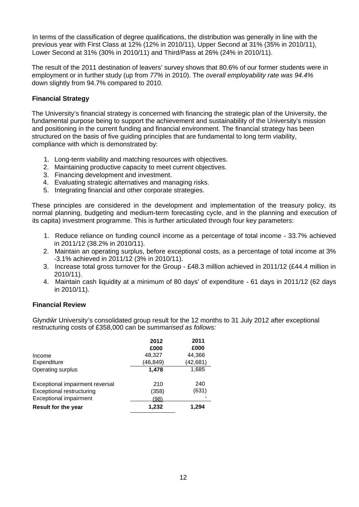In terms of the classification of degree qualifications, the distribution was generally in line with the previous year with First Class at 12% (12% in 2010/11), Upper Second at 31% (35% in 2010/11), Lower Second at 31% (30% in 2010/11) and Third/Pass at 26% (24% in 2010/11).

The result of the 2011 destination of leavers' survey shows that 80.6% of our former students were in employment or in further study (up from *77%* in 2010). The *overall employability rate was 94.4%* down slightly from 94.7% compared to 2010.

## **Financial Strategy**

The University's financial strategy is concerned with financing the strategic plan of the University, the fundamental purpose being to support the achievement and sustainability of the University's mission and positioning in the current funding and financial environment. The financial strategy has been structured on the basis of five guiding principles that are fundamental to long term viability, compliance with which is demonstrated by:

- 1. Long-term viability and matching resources with objectives.
- 2. Maintaining productive capacity to meet current objectives.
- 3. Financing development and investment.
- 4. Evaluating strategic alternatives and managing risks.
- 5. Integrating financial and other corporate strategies.

These principles are considered in the development and implementation of the treasury policy, its normal planning, budgeting and medium-term forecasting cycle, and in the planning and execution of its capita) investment programme. This is further articulated through four key parameters:

- 1. Reduce reliance on funding council income as a percentage of total income 33.7% achieved in 2011/12 (38.2% in 2010/11).
- 2. Maintain an operating surplus, before exceptional costs, as a percentage of total income at 3% -3.1% achieved in 2011/12 (3% in 2010/11).
- 3. Increase total gross turnover for the Group £48.3 million achieved in 2011/12 (£44.4 million in 2010/11).
- 4. Maintain cash liquidity at a minimum of 80 days' of expenditure 61 days in 2011/12 (62 days in 2010/11).

## **Financial Review**

Glynd r University's consolidated group result for the 12 months to 31 July 2012 after exceptional restructuring costs of £358,000 can be *summarised as follows:*

|                                  | 2012      | 2011      |
|----------------------------------|-----------|-----------|
|                                  | £000      | £000      |
| Income                           | 48,327    | 44,366    |
| Expenditure                      | (46, 849) | (42, 681) |
| Operating surplus                | 1.478     | 1,685     |
| Exceptional impairment reversal  | 210       | 240       |
| <b>Exceptional restructuring</b> | (358)     | (631)     |
| Exceptional impairment           | (98)      |           |
| <b>Result for the year</b>       | 1,232     | 1,294     |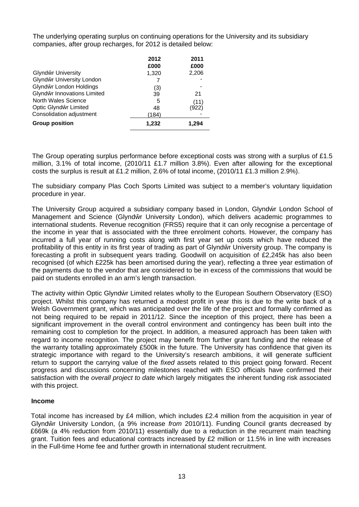The underlying operating surplus on continuing operations for the University and its subsidiary companies, after group recharges, for 2012 is detailed below:

|                             | 2012           | 2011  |
|-----------------------------|----------------|-------|
|                             | £000           | £000  |
| Glynd r University          | 1,320          | 2,206 |
| Glynd r University London   |                |       |
| Glynd r London Holdings     |                |       |
| Glynd r Innovations Limited | $rac{(3)}{39}$ | 21    |
| North Wales Science         | 5              | (11)  |
| Optic Glynd r Limited       | 48             | (922) |
| Consolidation adjustment    | (184)          |       |
| <b>Group position</b>       | 1,232          | 1,294 |

The Group operating surplus performance before exceptional costs was strong with a surplus of £1.5 million, 3.1% of total income, (2010/11 £1.7 million 3.8%). Even after allowing for the exceptional costs the surplus is result at £1.2 million, 2.6% of total income, (2010/11 £1.3 million 2.9%).

The subsidiary company Plas Coch Sports Limited was subject to a member's voluntary liquidation procedure in year.

The University Group acquired a subsidiary company based in London, Glynd r London School of Management and Science (Glynd r University London), which delivers academic programmes to international students. Revenue recognition (FRS5) require that it can only recognise a percentage of the income in year that is associated with the three enrolment cohorts. However, the company has incurred a full year of running costs along with first year set up costs which have reduced the profitability of this entity in its first year of trading as part of Glynd r University group. The company is forecasting a profit in subsequent years trading. Goodwill on acquisition of £2,245k has also been recognised (of which £225k has been amortised during the year), reflecting a three year estimation of the payments due to the vendor that are considered to be in excess of the commissions that would be paid on students enrolled in an arm's length transaction.

The activity within Optic Glynd r Limited relates wholly to the European Southern Observatory (ESO) project. Whilst this company has returned a modest profit in year this is due to the write back of a Welsh Government grant, which was anticipated over the life of the project and formally confirmed as not being required to be repaid in 2011/12. Since the inception of this project, there has been a significant improvement in the overall control environment and contingency has been built into the remaining cost to completion for the project. In addition, a measured approach has been taken with regard to income recognition. The project may benefit from further grant funding and the release of the warranty totalling approximately £500k in the future. The University has confidence that given its strategic importance with regard to the University's research ambitions, it will generate sufficient return to support the carrying value of the *fixed* assets related to this project going forward. Recent progress and discussions concerning milestones reached with ESO officials have confirmed their satisfaction with the *overall project to date* which largely mitigates the inherent funding risk associated with this project.

## **Income**

Total income has increased by £4 million, which includes £2.4 million from the acquisition in year of Glynd r University London, (a 9% increase *from* 2010/11). Funding Council grants decreased by £669k (a 4% reduction from 2010/11) essentially due to a reduction in the recurrent main teaching grant. Tuition fees and educational contracts increased by £2 million or 11.5% in line with increases in the Full-time Home fee and further growth in international student recruitment.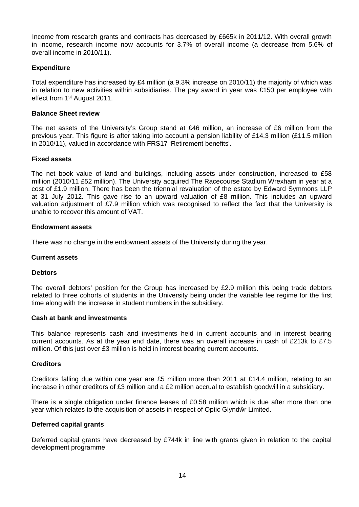Income from research grants and contracts has decreased by £665k in 2011/12. With overall growth in income, research income now accounts for 3.7% of overall income (a decrease from 5.6% of overall income in 2010/11).

## **Expenditure**

Total expenditure has increased by £4 million (a 9.3% increase on 2010/11) the majority of which was in relation to new activities within subsidiaries. The pay award in year was £150 per employee with effect from 1st August 2011.

### **Balance Sheet review**

The net assets of the University's Group stand at £46 million, an increase of £6 million from the previous year. This figure is after taking into account a pension liability of £14.3 million (£11.5 million in 2010/11), valued in accordance with FRS17 'Retirement benefits'.

### **Fixed assets**

The net book value of land and buildings, including assets under construction, increased to £58 million (2010/11 £52 million). The University acquired The Racecourse Stadium Wrexham in year at a cost of £1.9 million. There has been the triennial revaluation of the estate by Edward Symmons LLP at 31 July 2012. This gave rise to an upward valuation of £8 million. This includes an upward valuation adjustment of £7.9 million which was recognised to reflect the fact that the University is unable to recover this amount of VAT.

### **Endowment assets**

There was no change in the endowment assets of the University during the year.

#### **Current assets**

#### **Debtors**

The overall debtors' position for the Group has increased by £2.9 million this being trade debtors related to three cohorts of students in the University being under the variable fee regime for the first time along with the increase in student numbers in the subsidiary.

#### **Cash at bank and investments**

This balance represents cash and investments held in current accounts and in interest bearing current accounts. As at the year end date, there was an overall increase in cash of £213k to £7.5 million. Of this just over £3 million is heid in interest bearing current accounts.

## **Creditors**

Creditors falling due within one year are £5 million more than 2011 at £14.4 million, relating to an increase in other creditors of £3 million and a £2 million accrual to establish goodwill in a subsidiary.

There is a single obligation under finance leases of £0.58 million which is due after more than one year which relates to the acquisition of assets in respect of Optic Glynd r Limited.

#### **Deferred capital grants**

Deferred capital grants have decreased by £744k in line with grants given in relation to the capital development programme.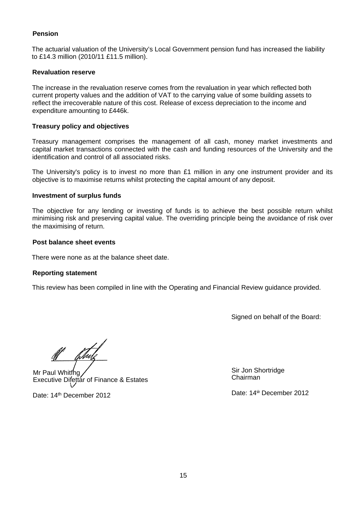## **Pension**

The actuarial valuation of the University's Local Government pension fund has increased the liability to £14.3 million (2010/11 £11.5 million).

### **Revaluation reserve**

The increase in the revaluation reserve comes from the revaluation in year which reflected both current property values and the addition of VAT to the carrying value of some building assets to reflect the irrecoverable nature of this cost. Release of excess depreciation to the income and expenditure amounting to £446k.

### **Treasury policy and objectives**

Treasury management comprises the management of all cash, money market investments and capital market transactions connected with the cash and funding resources of the University and the identification and control of all associated risks.

The University's policy is to invest no more than  $£1$  million in any one instrument provider and its objective is to maximise returns whilst protecting the capital amount of any deposit.

### **Investment of surplus funds**

The objective for any lending or investing of funds is to achieve the best possible return whilst minimising risk and preserving capital value. The overriding principle being the avoidance of risk over the maximising of return.

### **Post balance sheet events**

There were none as at the balance sheet date.

#### **Reporting statement**

This review has been compiled in line with the Operating and Financial Review guidance provided.

Signed on behalf of the Board:

Mr Paul Whitfhg, Executive Difettar of Finance & Estates

Date: 14th December 2012

Sir Jon Shortridge Chairman

Date: 14 December 2012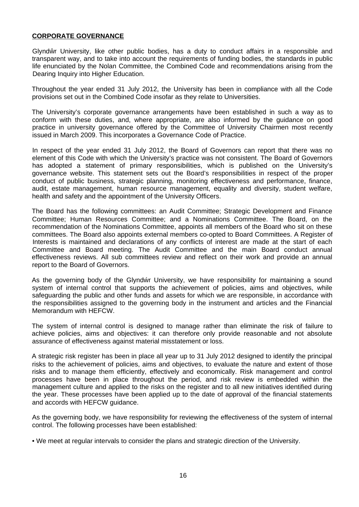## <span id="page-16-0"></span>**CORPORATE GOVERNANCE**

Glynd r University, like other public bodies, has a duty to conduct affairs in a responsible and transparent way, and to take into account the requirements of funding bodies, the standards in public life enunciated by the Nolan Committee, the Combined Code and recommendations arising from the Dearing Inquiry into Higher Education.

Throughout the year ended 31 July 2012, the University has been in compliance with all the Code provisions set out in the Combined Code insofar as they relate to Universities.

The University's corporate governance arrangements have been established in such a way as to conform with these duties, and, where appropriate, are also informed by the guidance on good practice in university governance offered by the Committee of University Chairmen most recently issued in March 2009. This incorporates a Governance Code of Practice.

In respect of the year ended 31 July 2012, the Board of Governors can report that there was no element of this Code with which the University's practice was not consistent. The Board of Governors has adopted a statement of primary responsibilities, which is published on the University's governance website. This statement sets out the Board's responsibilities in respect of the proper conduct of public business, strategic planning, monitoring effectiveness and performance, finance, audit, estate management, human resource management, equality and diversity, student welfare, health and safety and the appointment of the University Officers.

The Board has the following committees: an Audit Committee; Strategic Development and Finance Committee; Human Resources Committee; and a Nominations Committee. The Board, on the recommendation of the Nominations Committee, appoints all members of the Board who sit on these committees. The Board also appoints external members co-opted to Board Committees. A Register of Interests is maintained and declarations of any conflicts of interest are made at the start of each Committee and Board meeting. The Audit Committee and the main Board conduct annual effectiveness reviews. All sub committees review and reflect on their work and provide an annual report to the Board of Governors.

As the governing body of the Glynd r University, we have responsibility for maintaining a sound system of internal control that supports the achievement of policies, aims and objectives, while safeguarding the public and other funds and assets for which we are responsible, in accordance with the responsibilities assigned to the governing body in the instrument and articles and the Financial Memorandum with HEFCW.

The system of internal control is designed to manage rather than eliminate the risk of failure to achieve policies, aims and objectives: it can therefore only provide reasonable and not absolute assurance of effectiveness against material misstatement or loss.

A strategic risk register has been in place all year up to 31 July 2012 designed to identify the principal risks to the achievement of policies, aims and objectives, to evaluate the nature and extent of those risks and to manage them efficiently, effectively and economically. Risk management and control processes have been in place throughout the period, and risk review is embedded within the management culture and applied to the risks on the register and to all new initiatives identified during the year. These processes have been applied up to the date of approval of the financial statements and accords with HEFCW guidance.

As the governing body, we have responsibility for reviewing the effectiveness of the system of internal control. The following processes have been established:

• We meet at regular intervals to consider the plans and strategic direction of the University.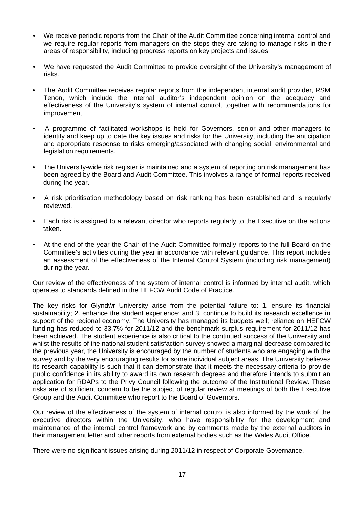- We receive periodic reports from the Chair of the Audit Committee concerning internal control and we require regular reports from managers on the steps they are taking to manage risks in their areas of responsibility, including progress reports on key projects and issues.
- We have requested the Audit Committee to provide oversight of the University's management of risks.
- The Audit Committee receives regular reports from the independent internal audit provider, RSM Tenon, which include the internal auditor's independent opinion on the adequacy and effectiveness of the University's system of internal control, together with recommendations for improvement
- A programme of facilitated workshops is held for Governors, senior and other managers to identify and keep up to date the key issues and risks for the University, including the anticipation and appropriate response to risks emerging/associated with changing social, environmental and legislation requirements.
- The University-wide risk register is maintained and a system of reporting on risk management has been agreed by the Board and Audit Committee. This involves a range of formal reports received during the year.
- A risk prioritisation methodology based on risk ranking has been established and is regularly reviewed.
- Each risk is assigned to a relevant director who reports regularly to the Executive on the actions taken.
- At the end of the year the Chair of the Audit Committee formally reports to the full Board on the Committee's activities during the year in accordance with relevant guidance. This report includes an assessment of the effectiveness of the Internal Control System (including risk management) during the year.

Our review of the effectiveness of the system of internal control is informed by internal audit, which operates to standards defined in the HEFCW Audit Code of Practice.

The key risks for Glynd r University arise from the potential failure to: 1. ensure its financial sustainability; 2. enhance the student experience; and 3. continue to build its research excellence in support of the regional economy. The University has managed its budgets well; reliance on HEFCW funding has reduced to 33.7% for 2011/12 and the benchmark surplus requirement for 2011/12 has been achieved. The student experience is also critical to the continued success of the University and whilst the results of the national student satisfaction survey showed a marginal decrease compared to the previous year, the University is encouraged by the number of students who are engaging with the survey and by the very encouraging results for some individual subject areas. The University believes its research capability is such that it can demonstrate that it meets the necessary criteria to provide public confidence in its ability to award its own research degrees and therefore intends to submit an application for RDAPs to the Privy Council following the outcome of the Institutional Review. These risks are of sufficient concern to be the subject of regular review at meetings of both the Executive Group and the Audit Committee who report to the Board of Governors.

Our review of the effectiveness of the system of internal control is also informed by the work of the executive directors within the University, who have responsibility for the development and maintenance of the internal control framework and by comments made by the external auditors in their management letter and other reports from external bodies such as the Wales Audit Office.

There were no significant issues arising during 2011/12 in respect of Corporate Governance.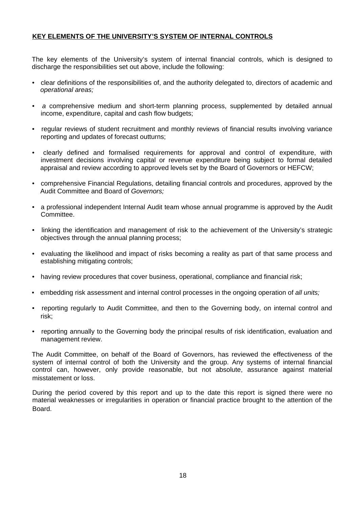## <span id="page-18-0"></span>**KEY ELEMENTS OF THE UNIVERSITY'S SYSTEM OF INTERNAL CONTROLS**

The key elements of the University's system of internal financial controls, which is designed to discharge the responsibilities set out above, include the following:

- clear definitions of the responsibilities of, and the authority delegated to, directors of academic and *operational areas;*
- *a* comprehensive medium and short-term planning process, supplemented by detailed annual income, expenditure, capital and cash flow budgets;
- regular reviews of student recruitment and monthly reviews of financial results involving variance reporting and updates of forecast outturns;
- clearly defined and formalised requirements for approval and control of expenditure, with investment decisions involving capital or revenue expenditure being subject to formal detailed appraisal and review according to approved levels set by the Board of Governors or HEFCW;
- comprehensive Financial Regulations, detailing financial controls and procedures, approved by the Audit Committee and Board of *Governors;*
- a professional independent Internal Audit team whose annual programme is approved by the Audit Committee.
- linking the identification and management of risk to the achievement of the University's strategic objectives through the annual planning process;
- evaluating the likelihood and impact of risks becoming a reality as part of that same process and establishing mitigating controls;
- having review procedures that cover business, operational, compliance and financial risk;
- embedding risk assessment and internal control processes in the ongoing operation of *all units;*
- reporting regularly to Audit Committee, and then to the Governing body, on internal control and risk;
- reporting annually to the Governing body the principal results of risk identification, evaluation and management review.

The Audit Committee, on behalf of the Board of Governors, has reviewed the effectiveness of the system of internal control of both the University and the group. Any systems of internal financial control can, however, only provide reasonable, but not absolute, assurance against material misstatement or loss.

During the period covered by this report and up to the date this report is signed there were no material weaknesses or irregularities in operation or financial practice brought to the attention of the Board.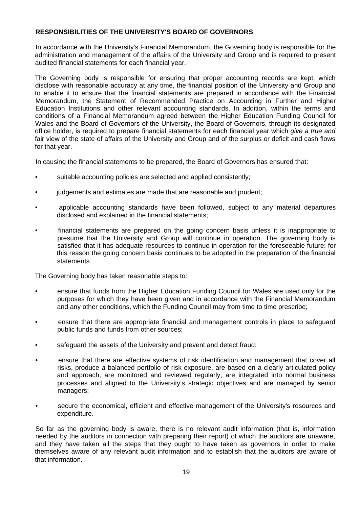## <span id="page-19-0"></span>**RESPONSIBILITIES OF THE UNIVERSITY'S BOARD OF GOVERNORS**

In accordance with the University's Financial Memorandum, the Governing body is responsible for the administration and management of the affairs of the University and Group and is required to present audited financial statements for each financial year.

The Governing body is responsible for ensuring that proper accounting records are kept, which disclose with reasonable accuracy at any time, the financial position of the University and Group and to enable it to ensure that the financial statements are prepared in accordance with the Financial Memorandum, the Statement of Recommended Practice on Accounting in Further and Higher Education Institutions and other relevant accounting standards. In addition, within the terms and conditions of a Financial Memorandum agreed between the Higher Education Funding Council for Wales and the Board of Governors of the University, the Board of Governors, through its designated office holder, is required to prepare financial statements for each financial year which *give a true and* fair view of the state of affairs of the University and Group and of the surplus or deficit and cash flows for that year.

In causing the financial statements to be prepared, the Board of Governors has ensured that:

- suitable accounting policies are selected and applied consistently;
- judgements and estimates are made that are reasonable and prudent;
- applicable accounting standards have been followed, subject to any material departures disclosed and explained in the financial statements;
- financial statements are prepared on the going concern basis unless it is inappropriate to presume that the University and Group will continue in operation. The governing body is satisfied that it has adequate resources to continue in operation for the foreseeable future: for this reason the going concern basis continues to be adopted in the preparation of the financial statements.

The Governing body has taken reasonable steps to:

- ensure that funds from the Higher Education Funding Council for Wales are used only for the purposes for which they have been given and in accordance with the Financial Memorandum and any other conditions, which the Funding Council may from time to time prescribe;
- ensure that there are appropriate financial and management controls in place to safeguard public funds and funds from other sources;
- safeguard the assets of the University and prevent and detect fraud;
- ensure that there are effective systems of risk identification and management that cover all risks, produce *a* balanced portfolio of risk exposure, are based on a clearly articulated policy and approach, are monitored and reviewed regularly, are integrated into normal business processes and aligned to the University's strategic objectives and are managed by senior managers;
- secure the economical, efficient and effective management of the University's resources and expenditure.

So far as the governing body is aware, there is no relevant audit information (that is, information needed by the auditors in connection with preparing their report) of which the auditors are unaware, and they have taken all the steps that they ought to have taken as governors in order to make themselves aware of any relevant audit information and to establish that the auditors are aware of that information.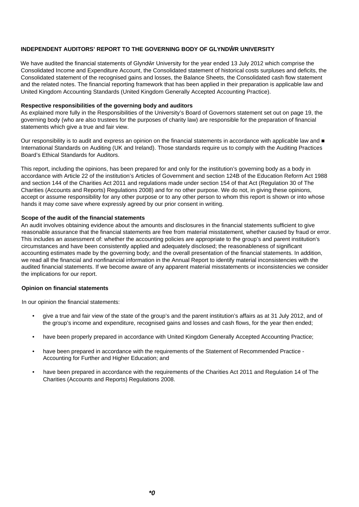#### **INDEPENDENT AUDITORS' REPORT TO THE GOVERNING BODY OF GLYND RUNIVERSITY**

We have audited the financial statements of Glynd r University for the year ended 13 July 2012 which comprise the Consolidated Income and Expenditure Account, the Consolidated statement of historical costs surpluses and deficits, the Consolidated statement of the recognised gains and losses, the Balance Sheets, the Consolidated cash flow statement and the related notes. The financial reporting framework that has been applied in their preparation is applicable law and United Kingdom Accounting Standards (United Kingdom Generally Accepted Accounting Practice).

#### **Respective responsibilities of the governing body and auditors**

As explained more fully in the Responsibilities of the University's Board of Governors statement set out on page 19, the governing body (who are also trustees for the purposes of charity law) are responsible for the preparation of financial statements which give a true and fair view.

Our responsibility is to audit and express an opinion on the financial statements in accordance with applicable law and International Standards on Auditing (UK and Ireland). Those standards require us to comply with the Auditing Practices Board's Ethical Standards for Auditors.

This report, including the opinions, has been prepared for and only for the institution's governing body as a body in accordance with Article 22 of the institution's Articles of Government and section 124B of the Education Reform Act 1988 and section 144 of the Charities Act 2011 and regulations made under section 154 of that Act (Regulation 30 of The Charities (Accounts and Reports) Regulations 2008) and for no other purpose. We do not, in giving these opinions, accept or assume responsibility for any other purpose or to any other person to whom this report is shown or into whose hands it may come save where expressly agreed by our prior consent in writing.

#### **Scope of the audit of the financial statements**

An audit involves obtaining evidence about the amounts and disclosures in the financial statements sufficient to give reasonable assurance that the financial statements are free from material misstatement, whether caused by fraud or error. This includes an assessment of: whether the accounting policies are appropriate to the group's and parent institution's circumstances and have been consistently applied and adequately disclosed; the reasonableness of significant accounting estimates made by the governing body; and the overall presentation of the financial statements. In addition, we read all the financial and nonfinancial information in the Annual Report to identify material inconsistencies with the audited financial statements. If we become aware of any apparent material misstatements or inconsistencies we consider the implications for our report.

#### **Opinion on financial statements**

In our opinion the financial statements:

- give a true and fair view of the state of the group's and the parent institution's affairs as at 31 July 2012, and of the group's income and expenditure, recognised gains and losses and cash flows, for the year then ended;
- have been properly prepared in accordance with United Kingdom Generally Accepted Accounting Practice;
- have been prepared in accordance with the requirements of the Statement of Recommended Practice Accounting for Further and Higher Education; and
- have been prepared in accordance with the requirements of the Charities Act 2011 and Regulation 14 of The Charities (Accounts and Reports) Regulations 2008.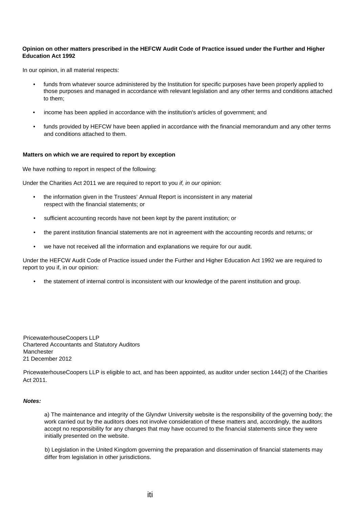#### **Opinion on other matters prescribed in the HEFCW Audit Code of Practice issued under the Further and Higher Education Act 1992**

In our opinion, in all material respects:

- funds from whatever source administered by the Institution for specific purposes have been properly applied to those purposes and managed in accordance with relevant legislation and any other terms and conditions attached to them;
- income has been applied in accordance with the institution's articles of government; and
- funds provided by HEFCW have been applied in accordance with the financial memorandum and any other terms and conditions attached to them.

#### **Matters on which we are required to report by exception**

We have nothing to report in respect of the following:

Under the Charities Act 2011 we are required to report to you *if, in our* opinion:

- the information given in the Trustees' Annual Report is inconsistent in any material respect with the financial statements; or
- sufficient accounting records have not been kept by the parent institution; or
- the parent institution financial statements are not in agreement with the accounting records and returns; or
- we have not received all the information and explanations we require for our audit.

Under the HEFCW Audit Code of Practice issued under the Further and Higher Education Act 1992 we are required to report to you if, in our opinion:

• the statement of internal control is inconsistent with our knowledge of the parent institution and group.

PricewaterhouseCoopers LLP Chartered Accountants and Statutory Auditors **Manchester** 21 December 2012

PricewaterhouseCoopers LLP is eligible to act, and has been appointed, as auditor under section 144(2) of the Charities Act 2011.

#### *Notes:*

a) The maintenance and integrity of the Glyndwr University website is the responsibility of the governing body; the work carried out by the auditors does not involve consideration of these matters and, accordingly, the auditors accept no responsibility for any changes that may have occurred to the financial statements since they were initially presented on the website.

b) Legislation in the United Kingdom governing the preparation and dissemination of financial statements may differ from legislation in other jurisdictions.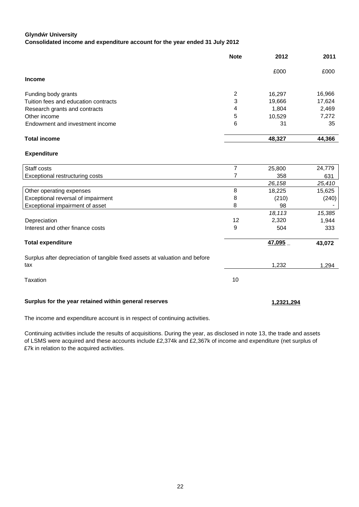#### **Glyndẃr University**

**Consolidated income and expenditure account for the year ended 31 July 2012**

|                                      | <b>Note</b> | 2012   | 2011   |
|--------------------------------------|-------------|--------|--------|
|                                      |             | £000   | £000   |
| <b>Income</b>                        |             |        |        |
| Funding body grants                  | 2           | 16,297 | 16,966 |
| Tuition fees and education contracts | 3           | 19,666 | 17,624 |
| Research grants and contracts        | 4           | 1,804  | 2,469  |
| Other income                         | 5           | 10,529 | 7,272  |
| Endowment and investment income      | 6           | 31     | 35     |
| <b>Total income</b>                  |             | 48,327 | 44,366 |

#### **Expenditure**

| Staff costs                                                                 |    | 25,800        | 24,779 |
|-----------------------------------------------------------------------------|----|---------------|--------|
| Exceptional restructuring costs                                             |    | 358           | 631    |
|                                                                             |    | 26,158        | 25,410 |
| Other operating expenses                                                    | 8  | 18,225        | 15,625 |
| Exceptional reversal of impairment                                          | 8  | (210)         | (240)  |
| Exceptional impairment of asset                                             | 8  | 98            |        |
|                                                                             |    | 18,113        | 15,385 |
| Depreciation                                                                | 12 | 2,320         | 1,944  |
| Interest and other finance costs                                            | 9  | 504           | 333    |
| <b>Total expenditure</b>                                                    |    | <u>47,095</u> | 43,072 |
| Surplus after depreciation of tangible fixed assets at valuation and before |    |               |        |
| tax                                                                         |    | 1,232         | 1,294  |
| Taxation                                                                    | 10 |               |        |
| Surplus for the year retained within general reserves                       |    | 1,2321,294    |        |

The income and expenditure account is in respect of continuing activities.

Continuing activities include the results of acquisitions. During the year, as disclosed in note 13, the trade and assets of LSMS were acquired and these accounts include £2,374k and £2,367k of income and expenditure (net surplus of £7k in relation to the acquired activities.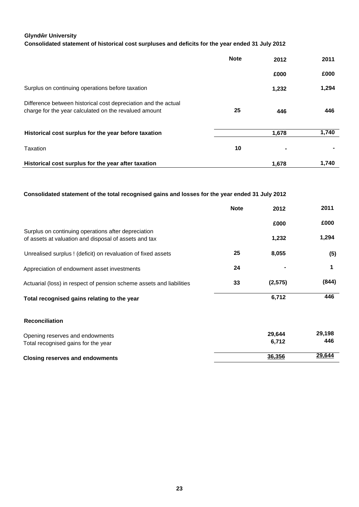#### **Glynd r University**

### **Consolidated statement of historical cost surpluses and deficits for the year ended 31 July 2012**

|                                                                                                                         | <b>Note</b> | 2012  | 2011  |
|-------------------------------------------------------------------------------------------------------------------------|-------------|-------|-------|
|                                                                                                                         |             | £000  | £000  |
| Surplus on continuing operations before taxation                                                                        |             | 1,232 | 1,294 |
| Difference between historical cost depreciation and the actual<br>charge for the year calculated on the revalued amount | 25          | 446   | 446   |
| Historical cost surplus for the year before taxation                                                                    |             | 1,678 | 1,740 |
| Taxation                                                                                                                | 10          |       |       |
| Historical cost surplus for the year after taxation                                                                     |             | 1,678 | 1,740 |

#### **Consolidated statement of the total recognised gains and losses for the year ended 31 July 2012**

|                                                                                                              | <b>Note</b> | 2012     | 2011   |
|--------------------------------------------------------------------------------------------------------------|-------------|----------|--------|
|                                                                                                              |             | £000     | £000   |
| Surplus on continuing operations after depreciation<br>of assets at valuation and disposal of assets and tax |             | 1,232    | 1,294  |
| Unrealised surplus ! (deficit) on revaluation of fixed assets                                                | 25          | 8,055    | (5)    |
| Appreciation of endowment asset investments                                                                  | 24          |          | 1      |
| Actuarial (loss) in respect of pension scheme assets and liabilities                                         | 33          | (2, 575) | (844)  |
| Total recognised gains relating to the year                                                                  |             | 6,712    | 446    |
| <b>Reconciliation</b>                                                                                        |             |          |        |
| Opening reserves and endowments                                                                              |             | 29,644   | 29,198 |
| Total recognised gains for the year                                                                          |             | 6,712    | 446    |
| <b>Closing reserves and endowments</b>                                                                       |             | 36,356   | 29,644 |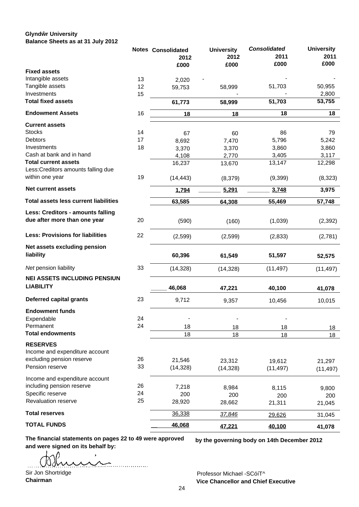#### **Glynd r University Balance Sheets as at 31 July 2012**

|                                              |    | <b>Notes Consolidated</b> | <b>University</b> | <b>Consolidated</b> | <b>University</b> |
|----------------------------------------------|----|---------------------------|-------------------|---------------------|-------------------|
|                                              |    | 2012                      | 2012              | 2011                | 2011              |
|                                              |    | £000                      | £000              | £000                | £000              |
| <b>Fixed assets</b>                          |    |                           |                   |                     |                   |
| Intangible assets                            | 13 | 2,020                     |                   |                     |                   |
| Tangible assets                              | 12 | 59,753                    | 58,999            | 51,703              | 50,955            |
| Investments                                  | 15 |                           |                   |                     | 2,800             |
| <b>Total fixed assets</b>                    |    | 61,773                    | 58,999            | 51,703              | 53,755            |
| <b>Endowment Assets</b>                      | 16 | 18                        | 18                | 18                  | 18                |
| <b>Current assets</b>                        |    |                           |                   |                     |                   |
| <b>Stocks</b>                                | 14 | 67                        | 60                | 86                  | 79                |
| <b>Debtors</b>                               | 17 | 8,692                     | 7,470             | 5,796               | 5,242             |
| Investments                                  | 18 | 3,370                     | 3,370             | 3,860               | 3,860             |
| Cash at bank and in hand                     |    | 4,108                     | 2,770             | 3,405               | 3,117             |
| <b>Total current assets</b>                  |    | 16,237                    | 13,670            | 13,147              | 12,298            |
| Less: Creditors amounts falling due          |    |                           |                   |                     |                   |
| within one year                              | 19 | (14, 443)                 | (8,379)           | (9,399)             | (8,323)           |
| <b>Net current assets</b>                    |    | 1,794                     | 5,291             | 3,748               | 3,975             |
| <b>Total assets less current liabilities</b> |    | 63,585                    | 64,308            | 55,469              | 57,748            |
| Less: Creditors - amounts falling            |    |                           |                   |                     |                   |
| due after more than one year                 | 20 | (590)                     | (160)             | (1,039)             | (2, 392)          |
| <b>Less: Provisions for liabilities</b>      | 22 | (2,599)                   | (2,599)           | (2,833)             | (2,781)           |
| Net assets excluding pension                 |    |                           |                   |                     |                   |
| liability                                    |    | 60,396                    | 61,549            | 51,597              | 52,575            |
| Net pension liability                        | 33 | (14, 328)                 | (14, 328)         | (11, 497)           | (11, 497)         |
| <b>NEI ASSETS INCLUDING PENSIUN</b>          |    |                           |                   |                     |                   |
| <b>LIABILITY</b>                             |    | 46,068                    | 47,221            | 40,100              | 41,078            |
|                                              |    |                           |                   |                     |                   |
| <b>Deferred capital grants</b>               | 23 | 9,712                     | 9,357             | 10,456              | 10,015            |
| <b>Endowment funds</b>                       |    |                           |                   |                     |                   |
| Expendable                                   | 24 |                           |                   |                     |                   |
| Permanent                                    | 24 | 18                        | 18                | 18                  | 18                |
| <b>Total endowments</b>                      |    | 18                        | 18                | 18                  | 18                |
| <b>RESERVES</b>                              |    |                           |                   |                     |                   |
| Income and expenditure account               |    |                           |                   |                     |                   |
| excluding pension reserve                    | 26 |                           |                   |                     |                   |
| Pension reserve                              | 33 | 21,546<br>(14, 328)       | 23,312            | 19,612              | 21,297            |
|                                              |    |                           | (14, 328)         | (11, 497)           | (11, 497)         |
| Income and expenditure account               |    |                           |                   |                     |                   |
| including pension reserve                    | 26 | 7,218                     | 8,984             | 8,115               | 9,800             |
| Specific reserve                             | 24 | 200                       | 200               | 200                 | 200               |
| Revaluation reserve                          | 25 | 28,920                    | 28,662            | 21,311              | 21,045            |
| <b>Total reserves</b>                        |    | 36,338                    | 37,846            | 29,626              | 31,045            |
| <b>TOTAL FUNDS</b>                           |    | 46,068                    | 47,221            | 40,100              | 41,078            |

**The financial statements on pages 22 to 49 were approved and were signed on its behalf by:**

 $\sim$  $\ldots$ 

**by the governing body on 14th December 2012**

Sir Jon Shortridge **Chairman**

Professor Michael -SCóíT^ **Vice Chancellor and Chief Executive**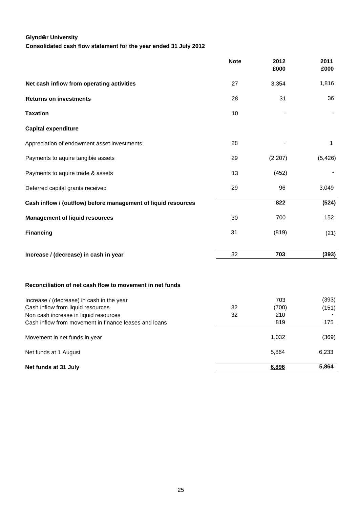## **Glynd r University**

**Consolidated cash flow statement for the year ended 31 July 2012**

|                                                                                                | <b>Note</b> | 2012<br>£000 | 2011<br>£000 |
|------------------------------------------------------------------------------------------------|-------------|--------------|--------------|
| Net cash inflow from operating activities                                                      | 27          | 3,354        | 1,816        |
| <b>Returns on investments</b>                                                                  | 28          | 31           | 36           |
| <b>Taxation</b>                                                                                | 10          |              |              |
| <b>Capital expenditure</b>                                                                     |             |              |              |
| Appreciation of endowment asset investments                                                    | 28          |              | 1            |
| Payments to aquire tangibie assets                                                             | 29          | (2, 207)     | (5, 426)     |
| Payments to aquire trade & assets                                                              | 13          | (452)        |              |
| Deferred capital grants received                                                               | 29          | 96           | 3,049        |
| Cash inflow / (outflow) before management of liquid resources                                  |             | 822          | (524)        |
| <b>Management of liquid resources</b>                                                          | 30          | 700          | 152          |
| <b>Financing</b>                                                                               | 31          | (819)        | (21)         |
| Increase / (decrease) in cash in year                                                          | 32          | 703          | (393)        |
| Reconciliation of net cash flow to movement in net funds                                       |             |              |              |
| Increase / (decrease) in cash in the year                                                      |             | 703          | (393)        |
| Cash inflow from liquid resources                                                              | 32          | (700)        | (151)        |
| Non cash increase in liquid resources<br>Cash inflow from movement in finance leases and loans | 32          | 210<br>819   | 175          |
| Movement in net funds in year                                                                  |             | 1,032        | (369)        |
| Net funds at 1 August                                                                          |             | 5,864        | 6,233        |
| Net funds at 31 July                                                                           |             | 6,896        | 5,864        |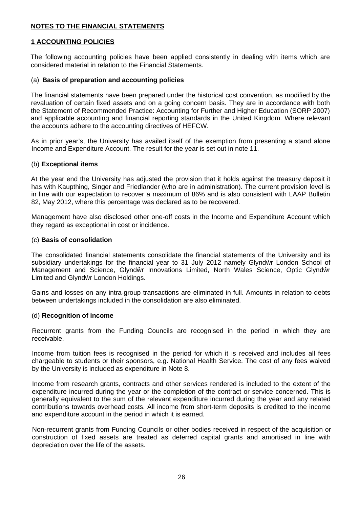## **NOTES TO THE FINANCIAL STATEMENTS**

## **1 ACCOUNTING POLICIES**

The following accounting policies have been applied consistently in dealing with items which are considered material in relation to the Financial Statements.

### (a) **Basis of preparation and accounting policies**

The financial statements have been prepared under the historical cost convention, as modified by the revaluation of certain fixed assets and on a going concern basis. They are in accordance with both the Statement of Recommended Practice: Accounting for Further and Higher Education (SORP 2007) and applicable accounting and financial reporting standards in the United Kingdom. Where relevant the accounts adhere to the accounting directives of HEFCW.

As in prior year's, the University has availed itself of the exemption from presenting a stand alone Income and Expenditure Account. The result for the year is set out in note 11.

### (b) **Exceptional items**

At the year end the University has adjusted the provision that it holds against the treasury deposit it has with Kaupthing, Singer and Friedlander (who are in administration). The current provision level is in line with our expectation to recover a maximum of 86% and is also consistent with LAAP Bulletin 82, May 2012, where this percentage was declared as to be recovered.

Management have also disclosed other one-off costs in the Income and Expenditure Account which they regard as exceptional in cost or incidence.

### (c) **Basis of consolidation**

The consolidated financial statements consolidate the financial statements of the University and its subsidiary undertakings for the financial year to 31 July 2012 namely Glynd r London School of Management and Science, Glynd r Innovations Limited, North Wales Science, Optic Glynd r Limited and Glynd r London Holdings.

Gains and losses on any intra-group transactions are eliminated in full. Amounts in relation to debts between undertakings included in the consolidation are also eliminated.

#### (d) **Recognition of income**

Recurrent grants from the Funding Councils are recognised in the period in which they are receivable.

Income from tuition fees is recognised in the period for which it is received and includes all fees chargeable to students or their sponsors, e.g. National Health Service. The cost of any fees waived by the University is included as expenditure in Note 8.

Income from research grants, contracts and other services rendered is included to the extent of the expenditure incurred during the year or the completion of the contract or service concerned. This is generally equivalent to the sum of the relevant expenditure incurred during the year and any related contributions towards overhead costs. All income from short-term deposits is credited to the income and expenditure account in the period in which it is earned.

Non-recurrent grants from Funding Councils or other bodies received in respect of the acquisition or construction of fixed assets are treated as deferred capital grants and amortised in line with depreciation over the life of the assets.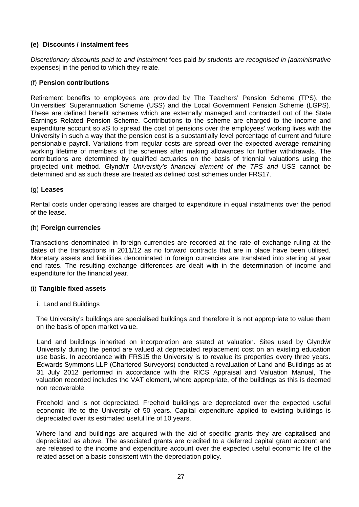## **(e) Discounts / instalment fees**

*Discretionary discounts paid to and instalment* fees paid *by students are recognised in [administrative* expenses] in the period to which they relate.

## (f) **Pension contributions**

Retirement benefits to employees are provided by The Teachers' Pension Scheme (TPS), the Universities' Superannuation Scheme (USS) and the Local Government Pension Scheme (LGPS). These are defined benefit schemes which are externally managed and contracted out of the State Earnings Related Pension Scheme. Contributions to the scheme are charged to the income and expenditure account so aS to spread the cost of pensions over the employees' working lives with the University in such a way that the pension cost is a substantially level percentage of current and future pensionable payroll. Variations from regular costs are spread over the expected average remaining working lifetime of members of the schemes after making allowances for further withdrawals. The contributions are determined by qualified actuaries on the basis of triennial valuations using the projected unit method. Glynd r *University's financial element of the TPS and* USS cannot be determined and as such these are treated as defined cost schemes under FRS17.

## (g) **Leases**

Rental costs under operating leases are charged to expenditure in equal instalments over the period of the lease.

## (h) **Foreign currencies**

Transactions denominated in foreign currencies are recorded at the rate of exchange ruling at the dates of the transactions in 2011/12 as no forward contracts that are in place have been utilised. Monetary assets and liabilities denominated in foreign currencies are translated into sterling at year end rates. The resulting exchange differences are dealt with in the determination of income and expenditure for the financial year.

## (i) **Tangible fixed assets**

## i. Land and Buildings

The University's buildings are specialised buildings and therefore it is not appropriate to value them on the basis of open market value.

Land and buildings inherited on incorporation are stated at valuation. Sites used by Glynd r University during the period are valued at depreciated replacement cost on an existing education use basis. In accordance with FRS15 the University is to revalue its properties every three years. Edwards Symmons LLP (Chartered Surveyors) conducted a revaluation of Land and Buildings as at 31 July 2012 performed in accordance with the RICS Appraisal and Valuation Manual, The valuation recorded includes the VAT element, where appropriate, of the buildings as this is deemed non recoverable.

Freehold land is not depreciated. Freehold buildings are depreciated over the expected useful economic life to the University of 50 years. Capital expenditure applied to existing buildings is depreciated over its estimated useful life of 10 years.

Where land and buildings are acquired with the aid of specific grants they are capitalised and depreciated as above. The associated grants are credited to a deferred capital grant account and are released to the income and expenditure account over the expected useful economic life of the related asset on a basis consistent with the depreciation policy.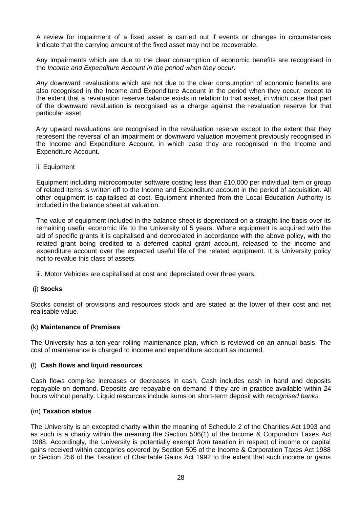A review for impairment of a fixed asset is carried out if events or changes in circumstances indicate that the carrying amount of the fixed asset may not be recoverable.

Any impairments which are due to the clear consumption of economic benefits are recognised in the *Income and Expenditure Account in the period when they occur.*

*Any* downward revaluations which are not due to the clear consumption of economic benefits are also recognised in the Income and Expenditure Account in the period when they occur, except to the extent that a revaluation reserve balance exists in relation to that asset, in which case that part of the downward revaluation is recognised as a charge against the revaluation reserve for that particular asset.

Any upward revaluations are recognised in the revaluation reserve except to the extent that they represent the reversal of an impairment or downward valuation movement previously recognised in the Income and Expenditure Account, in which case they are recognised in the Income and Expenditure Account.

ii. Equipment

Equipment including microcomputer software costing less than £10,000 per individual item or group of related items is written off to the Income and Expenditure account in the period of acquisition. All other equipment is capitalised at cost. Equipment inherited from the Local Education Authority is included in the balance sheet at valuation.

The value of equipment included in the balance sheet is depreciated on a straight-line basis over its remaining useful economic life to the University of 5 years. Where equipment is acquired with the aid of specific grants it is capitalised and depreciated in accordance with the above policy, with the related grant being credited to a deferred capital grant account, released to the income and expenditure account over the expected useful life of the related equipment. It is University policy not to revalue this class of assets.

iii. Motor Vehicles are capitalised at cost and depreciated over three years.

## (j) **Stocks**

Stocks consist of provisions and resources stock and are stated at the lower of their cost and net realisable value.

## (k) **Maintenance of Premises**

The University has a ten-year rolling maintenance plan, which is reviewed on an annual basis. The cost of maintenance is charged to income and expenditure account as incurred.

#### (l) **Cash flows and liquid resources**

Cash flows comprise increases or decreases in cash. Cash includes cash in hand and deposits repayable on demand. Deposits are repayable on demand if they are in practice available within 24 hours without penalty. Liquid resources include sums on short-term deposit with *recognised banks.*

#### (m) **Taxation status**

The University is an excepted charity within the meaning of Schedule 2 of the Charities Act 1993 and as such is a charity within the meaning the Section 506(1) of the Income & Corporation Taxes Act 1988. Accordingly, the University is potentially exempt *from* taxation in respect of income or capital gains received within categories covered by Section 505 of the Income & Corporation Taxes Act 1988 or Section 256 of the Taxation of Charitable Gains Act 1992 to the extent that such income or gains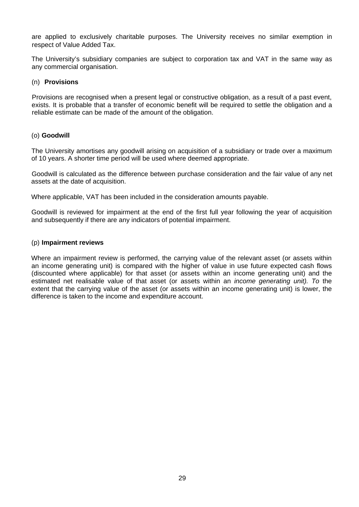are applied to exclusively charitable purposes. The University receives no similar exemption in respect of Value Added Tax.

The University's subsidiary companies are subject to corporation tax and VAT in the same way as any commercial organisation.

### (n) **Provisions**

Provisions are recognised when a present legal or constructive obligation, as a result of a past event, exists. It is probable that a transfer of economic benefit will be required to settle the obligation and a reliable estimate can be made of the amount of the obligation.

### (o) **Goodwill**

The University amortises any goodwill arising on acquisition of a subsidiary or trade over a maximum of 10 years. A shorter time period will be used where deemed appropriate.

Goodwill is calculated as the difference between purchase consideration and the fair value of any net assets at the date of acquisition.

Where applicable, VAT has been included in the consideration amounts payable.

Goodwill is reviewed for impairment at the end of the first full year following the year of acquisition and subsequently if there are any indicators of potential impairment.

### (p) **Impairment reviews**

Where an impairment review is performed, the carrying value of the relevant asset (or assets within an income generating unit) is compared with the higher of value in use future expected cash flows (discounted where applicable) for that asset (or assets within an income generating unit) and the estimated net realisable value of that asset (or assets within an *income generating unit). To* the extent that the carrying value of the asset (or assets within an income generating unit) is lower, the difference is taken to the income and expenditure account.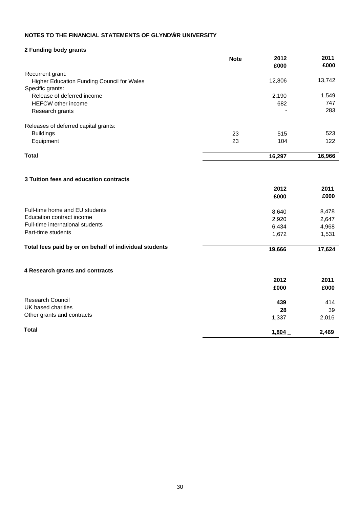## **2 Funding body grants**

|                                                   | <b>Note</b> | 2012<br>£000             | 2011<br>£000 |
|---------------------------------------------------|-------------|--------------------------|--------------|
| Recurrent grant:                                  |             |                          |              |
| <b>Higher Education Funding Council for Wales</b> |             | 12,806                   | 13,742       |
| Specific grants:                                  |             |                          |              |
| Release of deferred income                        |             | 2,190                    | 1,549        |
| <b>HEFCW</b> other income                         |             | 682                      | 747          |
| Research grants                                   |             | $\overline{\phantom{0}}$ | 283          |
| Releases of deferred capital grants:              |             |                          |              |
| <b>Buildings</b>                                  | 23          | 515                      | 523          |
| Equipment                                         | 23          | 104                      | 122          |
| Total                                             |             | 16,297                   | 16,966       |

### **3 Tuition fees and education contracts**

|                                                        | 2012   | 2011   |
|--------------------------------------------------------|--------|--------|
|                                                        | £000   | £000   |
| Full-time home and EU students                         | 8,640  | 8,478  |
| Education contract income                              | 2,920  | 2,647  |
| Full-time international students                       | 6,434  | 4,968  |
| Part-time students                                     | 1,672  | 1,531  |
| Total fees paid by or on behalf of individual students | 19,666 | 17,624 |
| 4 Research grants and contracts                        |        |        |
|                                                        | 2012   | 2011   |
|                                                        | £000   | £000   |
| <b>Research Council</b>                                | 439    | 414    |
| UK based charities                                     | 28     | 39     |
| Other grants and contracts                             | 1,337  | 2,016  |
| <b>Total</b>                                           | 1,804  | 2,469  |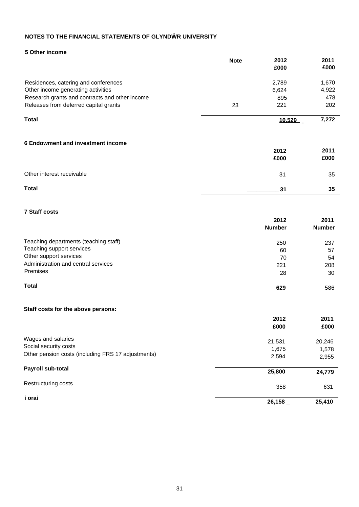#### **5 Other income**

|                                                    | <b>Note</b> | 2012                  | 2011                  |
|----------------------------------------------------|-------------|-----------------------|-----------------------|
|                                                    |             | £000                  | £000                  |
| Residences, catering and conferences               |             | 2,789                 | 1,670                 |
| Other income generating activities                 |             | 6,624                 | 4,922                 |
| Research grants and contracts and other income     |             | 895                   | 478                   |
| Releases from deferred capital grants              | 23          | 221                   | 202                   |
| <b>Total</b>                                       |             | 10,529                | 7,272                 |
|                                                    |             |                       |                       |
| 6 Endowment and investment income                  |             | 2012                  | 2011                  |
|                                                    |             | £000                  | £000                  |
| Other interest receivable                          |             | 31                    | 35                    |
| <b>Total</b>                                       |             | 31                    | 35                    |
|                                                    |             |                       |                       |
| <b>7 Staff costs</b>                               |             |                       |                       |
|                                                    |             | 2012<br><b>Number</b> | 2011<br><b>Number</b> |
| Teaching departments (teaching staff)              |             | 250                   | 237                   |
| Teaching support services                          |             | 60                    | 57                    |
| Other support services                             |             | 70                    | 54                    |
| Administration and central services                |             | 221                   | 208                   |
| Premises                                           |             | 28                    | 30                    |
| <b>Total</b>                                       |             | 629                   | 586                   |
|                                                    |             |                       |                       |
| Staff costs for the above persons:                 |             |                       |                       |
|                                                    |             | 2012                  | 2011                  |
|                                                    |             | £000                  | £000                  |
| Wages and salaries                                 |             | 21,531                | 20,246                |
| Social security costs                              |             | 1,675                 | 1,578                 |
| Other pension costs (including FRS 17 adjustments) |             | 2,594                 | 2,955                 |
| Payroll sub-total                                  |             | 25,800                | 24,779                |
| Restructuring costs                                |             | 358                   | 631                   |
| i orai                                             |             | 26,158                | 25,410                |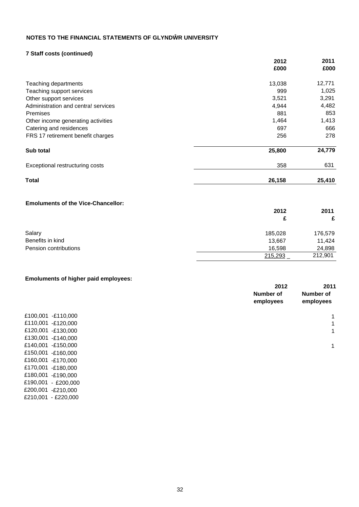#### **7 Staff costs (continued)**

|                                           | 2012    | 2011    |
|-------------------------------------------|---------|---------|
|                                           | £000    | £000    |
| Teaching departments                      | 13,038  | 12,771  |
| Teaching support services                 | 999     | 1,025   |
| Other support services                    | 3,521   | 3,291   |
| Administration and centra! services       | 4,944   | 4,482   |
| Premises                                  | 881     | 853     |
| Other income generating activities        | 1,464   | 1,413   |
| Catering and residences                   | 697     | 666     |
| FRS 17 retirement benefit charges         | 256     | 278     |
| Sub total                                 | 25,800  | 24,779  |
| Exceptional restructuring costs           | 358     | 631     |
| <b>Total</b>                              | 26,158  | 25,410  |
| <b>Emoluments of the Vice-Chancellor:</b> |         |         |
|                                           | 2012    | 2011    |
|                                           | £       | £       |
| Salary                                    | 185,028 | 176,579 |
| Benefits in kind                          | 13,667  | 11,424  |
| Pension contributions                     | 16,598  | 24,898  |
|                                           | 215,293 | 212,901 |

#### **Emoluments of higher paid employees:**

£170,001 -£180,000 £180,001 -£190,000 £190,001 - £200,000 £200,001 -£210,000 £210,001 - £220,000

|                    | 2012<br>Number of<br>employees | 2011<br>Number of<br>employees |
|--------------------|--------------------------------|--------------------------------|
| £100,001 -£110,000 |                                | 1                              |
| £110,001 -£120,000 |                                | 1                              |
| £120,001 -£130,000 |                                | 1                              |
| £130,001 -£140,000 |                                |                                |
| £140,001 -£150,000 |                                | 1                              |
| £150,001 -£160,000 |                                |                                |
| £160,001 -£170,000 |                                |                                |
|                    |                                |                                |

215,293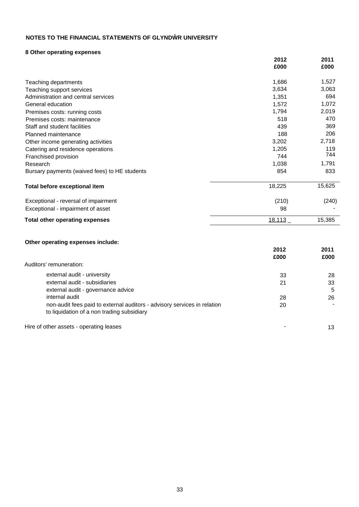## **8 Other operating expenses**

|                                               | 2012   | 2011   |
|-----------------------------------------------|--------|--------|
|                                               | £000   | £000   |
| Teaching departments                          | 1,686  | 1,527  |
| Teaching support services                     | 3,634  | 3,063  |
| Administration and central services           | 1,351  | 694    |
| General education                             | 1,572  | 1,072  |
| Premises costs: running costs                 | 1,794  | 2,019  |
| Premises costs: maintenance                   | 518    | 470    |
| Staff and student facilities                  | 439    | 369    |
| Planned maintenance                           | 188    | 206    |
| Other income generating activities            | 3,202  | 2,718  |
| Catering and residence operations             | 1,205  | 119    |
| Franchised provision                          | 744    | 744    |
| Research                                      | 1,038  | 1,791  |
| Bursary payments (waived fees) to HE students | 854    | 833    |
| <b>Total before exceptional item</b>          | 18,225 | 15,625 |
| Exceptional - reversal of impairment          | (210)  | (240)  |
| Exceptional - impairment of asset             | 98     |        |
| <b>Total other operating expenses</b>         | 18,113 | 15,385 |

### **Other operating expenses include:**

|                                                                                                                        | 2012 | 2011 |
|------------------------------------------------------------------------------------------------------------------------|------|------|
|                                                                                                                        | £000 | £000 |
| Auditors' remuneration:                                                                                                |      |      |
| external audit - university                                                                                            | 33   | 28   |
| external audit - subsidiaries                                                                                          | 21   | 33   |
| external audit - governance advice                                                                                     |      | 5    |
| internal audit                                                                                                         | 28   | 26   |
| non-audit fees paid to external auditors - advisory services in relation<br>to liquidation of a non trading subsidiary | 20   |      |
| Hire of other assets - operating leases                                                                                |      | 13   |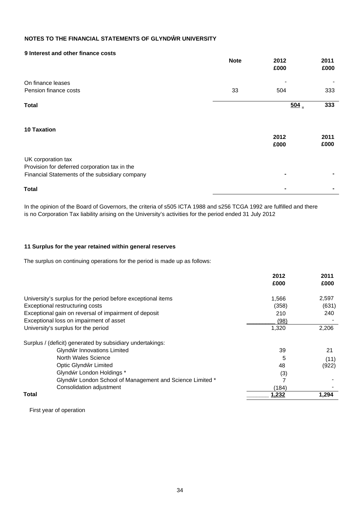#### **9 Interest and other finance costs**

|                                                | <b>Note</b> | 2012<br>£000    | 2011<br>£000 |
|------------------------------------------------|-------------|-----------------|--------------|
| On finance leases                              |             |                 |              |
| Pension finance costs                          | 33          | 504             | 333          |
| <b>Total</b>                                   |             | $\frac{504}{ }$ | 333          |
| <b>10 Taxation</b>                             |             | 2012<br>£000    | 2011<br>£000 |
| UK corporation tax                             |             |                 |              |
| Provision for deferred corporation tax in the  |             |                 |              |
| Financial Statements of the subsidiary company |             |                 |              |
| <b>Total</b>                                   |             |                 |              |

In the opinion of the Board of Governors, the criteria of s505 ICTA 1988 and s256 TCGA 1992 are fulfilled and there is no Corporation Tax liability arising on the University's activities for the period ended 31 July 2012

#### **11 Surplus for the year retained within general reserves**

The surplus on continuing operations for the period is made up as follows:

|                                                              | 2012  | 2011  |
|--------------------------------------------------------------|-------|-------|
|                                                              | £000  | £000  |
| University's surplus for the period before exceptional items | 1,566 | 2,597 |
| Exceptional restructuring costs                              | (358) | (631) |
| Exceptional gain on reversal of impairment of deposit        | 210   | 240   |
| Exceptional loss on impairment of asset                      | (98)  |       |
| University's surplus for the period                          | 1,320 | 2,206 |
| Surplus / (deficit) generated by subsidiary undertakings:    |       |       |
| Glynd r Innovations Limited                                  | 39    | 21    |
| North Wales Science                                          | 5     | (11)  |
| Optic Glynd r Limited                                        | 48    | (922) |
| Glynd r London Holdings *                                    | (3)   |       |
| Glynd r London School of Management and Science Limited *    |       |       |
| Consolidation adjustment                                     | (184) |       |
| Total                                                        | 1,232 | 1,294 |

First year of operation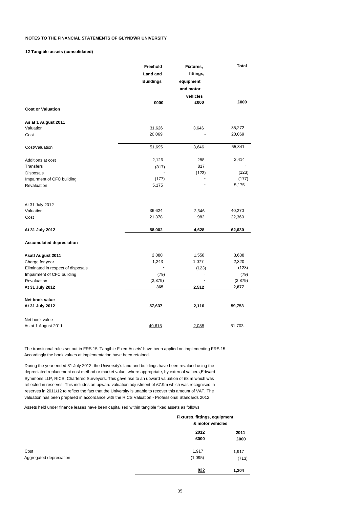#### **12 Tangible assets (consolidated)**

|                                    | Freehold         | Fixtures, | <b>Total</b> |  |
|------------------------------------|------------------|-----------|--------------|--|
|                                    | <b>Land and</b>  | fittings, |              |  |
|                                    | <b>Buildings</b> | equipment |              |  |
|                                    |                  | and motor |              |  |
|                                    |                  | vehicles  |              |  |
|                                    | £000             | £000      | £000         |  |
| <b>Cost or Valuation</b>           |                  |           |              |  |
| As at 1 August 2011                |                  |           |              |  |
| Valuation                          | 31,626           | 3,646     | 35,272       |  |
| Cost                               | 20,069           |           | 20,069       |  |
| Cost/Valuation                     | 51,695           | 3,646     | 55,341       |  |
| Additions at cost                  | 2,126            | 288       | 2,414        |  |
| <b>Transfers</b>                   | (817)            | 817       |              |  |
| <b>Disposals</b>                   |                  | (123)     | (123)        |  |
| Impairment of CFC building         | (177)            |           | (177)        |  |
| Revaluation                        | 5,175            |           | 5,175        |  |
| At 31 July 2012                    |                  |           |              |  |
| Valuation                          | 36,624           | 3,646     | 40,270       |  |
| Cost                               | 21,378           | 982       | 22,360       |  |
| At 31 July 2012                    | 58,002           | 4,628     | 62,630       |  |
| <b>Accumulated depreciation</b>    |                  |           |              |  |
| <b>Asatl August 2011</b>           | 2,080            | 1,558     | 3,638        |  |
| Charge for year                    | 1,243            | 1,077     | 2,320        |  |
| Eliminated in respect of disposals |                  | (123)     | (123)        |  |
| Impairment of CFC building         | (79)             |           | (79)         |  |
| Revaluation                        | (2,879)          |           | (2,879)      |  |
| At 31 July 2012                    | 365              | 2,512     | 2,877        |  |
| Net book value                     |                  |           |              |  |
| At 31 July 2012                    | 57,637           | 2,116     | 59,753       |  |
| Net book value                     |                  |           |              |  |
| As at 1 August 2011                | 49,615           | 2,088     | 51,703       |  |

The transitional rules set out in FRS 15 'Tangible Fixed Assets' have been applied on implementing FRS 15. Accordingly the book values at implementation have been retained.

During the year ended 31 July 2012, the University's land and buildings have been revalued using the depreciated replacement cost method or market value, where appropriate, by external valuers,Edward Symmons LLP, RICS, Chartered Surveyors. This gave rise to an upward valuation of £8 m which was reflected in reserves. This includes an upward valuation adjustment of £7.9m which was recognised in reserves in 2011/12 to reflect the fact that the University is unable to recover this amount of VAT. The valuation has been prepared in accordance with the RICS Valuation - Professional Standards 2012.

Assets held under finance leases have been capitalised within tangible fixed assets as follows:

|                                 |                  | Fixtures, fittings, equipment<br>& motor vehicles |  |
|---------------------------------|------------------|---------------------------------------------------|--|
|                                 | 2012<br>£000     | 2011<br>£000                                      |  |
| Cost<br>Aggregated depreciation | 1,917<br>(1.095) | 1,917<br>(713)                                    |  |
|                                 | 822              | 1,204                                             |  |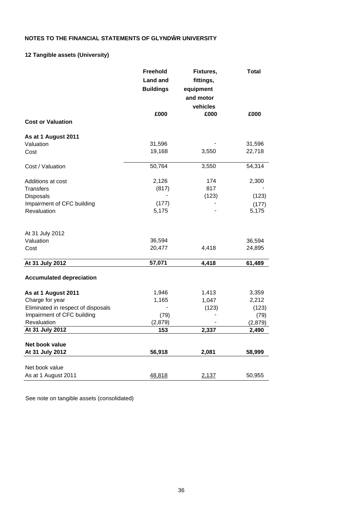## **12 Tangible assets (University)**

|                                    | <b>Freehold</b>  | Fixtures, | <b>Total</b> |
|------------------------------------|------------------|-----------|--------------|
|                                    | <b>Land and</b>  | fittings, |              |
|                                    | <b>Buildings</b> | equipment |              |
|                                    |                  | and motor |              |
|                                    |                  | vehicles  |              |
|                                    | £000             | £000      | £000         |
| <b>Cost or Valuation</b>           |                  |           |              |
| As at 1 August 2011                |                  |           |              |
| Valuation                          | 31,596           |           | 31,596       |
| Cost                               | 19,168           | 3,550     | 22,718       |
| Cost / Valuation                   | 50,764           | 3,550     | 54,314       |
| Additions at cost                  | 2,126            | 174       | 2,300        |
| Transfers                          | (817)            | 817       |              |
| Disposals                          |                  | (123)     | (123)        |
| Impairment of CFC building         | (177)            |           | (177)        |
| Revaluation                        | 5,175            |           | 5,175        |
| At 31 July 2012                    |                  |           |              |
| Valuation                          | 36,594           |           | 36,594       |
| Cost                               | 20,477           | 4,418     | 24,895       |
| At 31 July 2012                    | 57,071           | 4,418     | 61,489       |
| <b>Accumulated depreciation</b>    |                  |           |              |
| As at 1 August 2011                | 1,946            | 1,413     | 3,359        |
| Charge for year                    | 1,165            | 1,047     | 2,212        |
| Eliminated in respect of disposals |                  | (123)     | (123)        |
| Impairment of CFC building         | (79)             |           | (79)         |
| Revaluation                        | (2,879)          |           | (2,879)      |
| At 31 July 2012                    | 153              | 2,337     | 2,490        |
| Net book value                     |                  |           |              |
| At 31 July 2012                    | 56,918           | 2,081     | 58,999       |
| Net book value                     |                  |           |              |
| As at 1 August 2011                | 48,818           | 2,137     | 50,955       |
|                                    |                  |           |              |

See note on tangible assets (consolidated)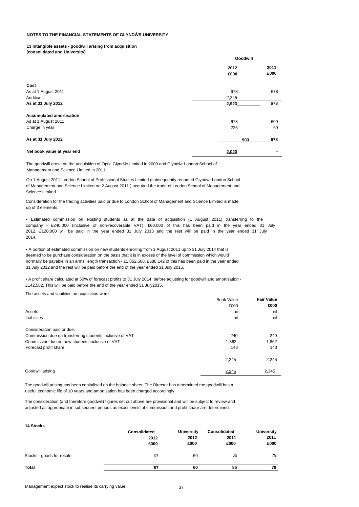#### **13 Intangible assets - goodwill arising from acquisition**

**(consolidated and University)**

|                                 | Goodwill |      |
|---------------------------------|----------|------|
|                                 | 2012     |      |
|                                 | £000     | £000 |
| Cost                            |          |      |
| As at 1 August 2011             | 678      | 678  |
| Additions                       | 2,245    |      |
| As at 31 July 2012              | 2,923    | 678  |
| <b>Accumulated amortisation</b> |          |      |
| As at 1 August 2011             | 678      | 609  |
| Charge in year                  | 225      | 69   |
| As at 31 July 2012              | 903      | 678  |
| Net book value at year end      | 2,020    | ۰    |

The goodwill arose on the acquisition of Optic Glynd r Limited in 2009 and Glynd r London School of Management and Science Limited in 2011.

On 1 August 2011 London School of Professional Studies Limited (subsequently renamed Giyndwr London School of Management and Science Limited on 2 August 2011 ) acquired the trade of London School of Management and Science Limited.

Consideration for the trading activities paid or due to London School of Management and Science Limited is made up of 3 elements;

• Estimated commission on existing students as at the date of acquisition (1 August 2011) transferring to the company - £240,000 (inclusive of non-recoverable VAT). £60,000 of this has been paid in the year ended 31 July 2012, £120,000 will be paid in the year ended 31 July 2013 and the rest will be paid in the year ended 31 July 2014.

• A portion of estimated commission on new students enrolling from 1 August 2011 up to 31 July 2014 that is deemed to be purchase consideration on the basis that it is in excess of the level of commission which would normally be payable in an arms' length transaction - £1,862,568. £588,142 of this has been paid in the year ended 31 July 2012 and the rest will be paid before the end of the year ended 31 July 2015.

• A profit share calculated at 50% of forecast profits to 31 July 2014, before adjusting for goodwill and amortisation - £142,582. This will be paid before the end of the year ended 31 July2015.

The assets and liabilities on acquisition were:

|                                                          | <b>Book Value</b> | <b>Fair Value</b> |
|----------------------------------------------------------|-------------------|-------------------|
|                                                          | £000              | £000              |
| Assets                                                   | nii               | nil               |
| Liabilities                                              | nil               | nil               |
| Consideration paid or due:                               |                   |                   |
| Commission due on transferring students inclusive of VAT | 240               | 240               |
| Commission due on new students inclusive of VAT          | 1,862             | 1,862             |
| Forecast profit share                                    | 143               | 143               |
|                                                          | 2,245             | 2,245             |
| Goodwill arising                                         | 2,245             | 2,245             |

The goodwill arising has been capitalised on the balance sheet. The Director has determined the goodwill has a useful economic life of 10 years and amortisation has been charged accordingly.

The consideration (and therefore goodwill) figures set out above are provisional and will be subject to review and adjusted as appropriate in subsequent periods as exact levels of commission and profit share are determined.

| 14 Stocks                 |                              |                                   |                              |                                   |
|---------------------------|------------------------------|-----------------------------------|------------------------------|-----------------------------------|
|                           | Consolidated<br>2012<br>£000 | <b>University</b><br>2012<br>£000 | Consolidated<br>2011<br>£000 | <b>University</b><br>2011<br>£000 |
| Stocks - goods for resale | 67                           | 60                                | 86                           | 79                                |
| <b>Total</b>              | 67                           | 60                                | 86                           | 79                                |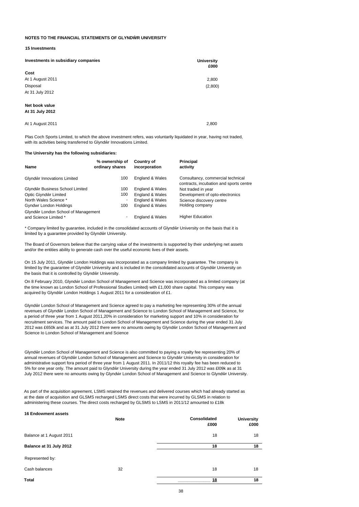#### **15 Investments**

| Investments in subsidiary companies | <b>University</b><br>£000 |
|-------------------------------------|---------------------------|
| Cost                                |                           |
| At 1 August 2011                    | 2,800                     |
| Disposal                            | (2,800)                   |
| At 31 July 2012                     |                           |
| Net book value<br>At 31 July 2012   |                           |

| At 1 August 2011 | 2.800 |
|------------------|-------|
|                  |       |

Plas Coch Sports Limited, to which the above investment refers, was voluntarily liquidated in year, having not traded, with its activities being transferred to Glynd r Innovations Limited.

#### **The University has the following subsidiaries:**

| Name                                | % ownership of<br>ordinary shares | Country of<br>incorporation | Principal<br>activity                                                        |
|-------------------------------------|-----------------------------------|-----------------------------|------------------------------------------------------------------------------|
|                                     |                                   |                             |                                                                              |
| Glynd r Innovations Limited         | 100                               | England & Wales             | Consultancy, commercial technical<br>contracts, incubation and sports centre |
| Glynd r Business School Limited     | 100                               | England & Wales             | Not traded in year                                                           |
| Optic Giynd r Limited               | 100                               | England & Wales             | Development of opto-electronics                                              |
| North Wales Science *               | ٠                                 | England & Wales             | Science discovery centre                                                     |
| Gyndwr London Holdings              | 100                               | England & Wales             | Holding company                                                              |
| Glynd r London School of Management |                                   |                             |                                                                              |
| and Science Limited *               |                                   | England & Wales             | <b>Higher Education</b>                                                      |

\* Company limited by guarantee, included in the consolidated accounts of Glynd r University on the basis that it is limited by a guarantee provided by Glynd r University.

The Board of Governors believe that the carrying value of the investments is supported by their underlying net assets and/or the entities ability to generate cash over the useful economic lives of their assets.

On 15 July 2011, Glynd r London Holdings was incorporated as a company limited by guarantee. The company is limited by the quarantee of Glynd r University and is included in the consolidated accounts of Giynd r University on the basis that it is controlled by Glynd r University.

On 8 February 2010, Glynd r London School of Management and Science was incorporated as a limited company (at the time known as London School of Professional Studies Limited) with £1,000 share capital. This company was acquired by Glynd r London Holdings 1 August 2011 for a consideration of £1.

Glynd r London School of Management and Science agreed to pay a marketing fee representing 30% of the annual revenues of Glynd r London School of Management and Science to London School of Management and Science, for a period of three year from 1 August 2011,20% in consideration for marketing support and 10% in consideration for recruitment services. The amount paid to London School of Management and Science during the year ended 31 July 2012 was £650k and as at 31 July 2012 there were no amounts owing by Glynd r London School of Management and Science Io London School of Management and Science

Glynd r London School of Management and Science is also committed to paying a royalty fee representing 20% of annual revenues of Glynd r London School of Management and Science to Glynd r University in consideration for administrative support fora period of three year from 1 August 2011. In 2011/12 this royalty fee has been reduced to 5% for one year only. The amount paid to Glynd r University during the year ended 31 July 2012 was £l09k as at 31 July 2012 there were no amounts owing by Glynd r London School of Management and Science to Glynd r University.

As part of the acquisition agreement, LSMS retained the revenues and delivered courses which had already started as at the date of acquisition and GLSMS recharged LSMS direct costs that were incurred by GLSMS in relation to administering these courses. The direct costs recharged by GLSMS to LSMS in 2011/12 amounted to £18k

| <b>16 Endowment assets</b> | <b>Note</b> | Consolidated<br>£000 | <b>University</b><br>£000 |
|----------------------------|-------------|----------------------|---------------------------|
| Balance at 1 August 2011   |             | 18                   | 18                        |
| Balance at 31 July 2012    |             | 18                   | 18                        |
| Represented by:            |             |                      |                           |
| Cash balances              | 32          | 18                   | 18                        |
| Total                      |             | <u>18</u>            | 18                        |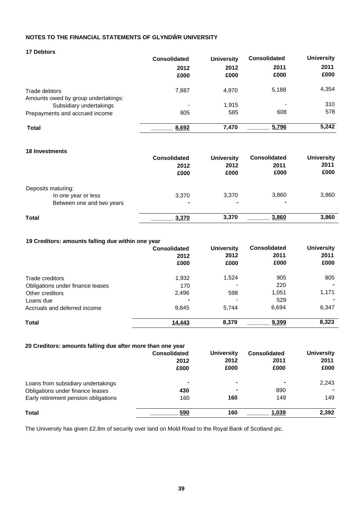| <b>17 Debtors</b> |
|-------------------|
|-------------------|

|                                     | <b>Consolidated</b> | <b>University</b> | <b>Consolidated</b>      | <b>University</b> |
|-------------------------------------|---------------------|-------------------|--------------------------|-------------------|
|                                     | 2012                | 2012              | 2011                     | 2011              |
|                                     | £000                | £000              | £000                     | £000              |
| Trade debtors                       | 7.887               | 4,970             | 5,188                    | 4,354             |
| Amounts owed by group undertakings: |                     |                   |                          |                   |
| Subsidiary undertakings             | -                   | 1.915             | $\overline{\phantom{a}}$ | 310               |
| Prepayments and accrued income      | 805                 | 585               | 608                      | 578               |
| <b>Total</b>                        | 8,692               | 7,470             | 5,796                    | 5,242             |

#### **18 Investments**

| To investments            | <b>Consolidated</b><br>2012<br>£000 | <b>University</b><br>2012<br>£000 | <b>Consolidated</b><br>2011<br>£000 | <b>University</b><br>2011<br>£000 |
|---------------------------|-------------------------------------|-----------------------------------|-------------------------------------|-----------------------------------|
| Deposits maturing:        |                                     |                                   |                                     |                                   |
| In one year or less       | 3,370                               | 3,370                             | 3,860                               | 3,860                             |
| Between one and two years | -                                   | ۰                                 |                                     |                                   |
| <b>Total</b>              | 3,370                               | 3,370                             | 3,860                               | 3,860                             |

#### **19 Creditors: amounts falling due within one year**

|                                  | <b>Consolidated</b><br>2012<br>£000 | <b>University</b><br>2012<br>£000 | <b>Consolidated</b><br>2011<br>£000 | <b>University</b><br>2011<br>£000 |
|----------------------------------|-------------------------------------|-----------------------------------|-------------------------------------|-----------------------------------|
| Trade creditors                  | 1,932                               | 1,524                             | 905                                 | 805                               |
| Obligations under finance leases | 170                                 |                                   | 220                                 |                                   |
| Other creditors                  | 2,496                               | 598                               | 1,051                               | 1,171                             |
| Loans due                        |                                     | $\overline{\phantom{a}}$          | 529                                 |                                   |
| Accruals and deferred income     | 9,845                               | 5.744                             | 6,694                               | 6,347                             |
| <b>Total</b>                     | 14,443                              | 8.379                             | 9,399                               | 8,323                             |

#### **20 Creditors: amounts falling due after more than one year**

|                                      | <b>Consolidated</b><br>2012<br>£000 | <b>University</b><br>2012<br>£000 | <b>Consolidated</b><br>2011<br>£000 | <b>University</b><br>2011<br>£000 |
|--------------------------------------|-------------------------------------|-----------------------------------|-------------------------------------|-----------------------------------|
| Loans from subsidiary undertakings   |                                     | $\blacksquare$                    | ۰                                   | 2,243                             |
| Obligations under finance leases     | 430                                 | $\overline{\phantom{a}}$          | 890                                 |                                   |
| Early retirement pension obligations | 160                                 | 160                               | 149                                 | 149                               |
| Total                                | 590                                 | 160                               | 1,039                               | 2,392                             |

The University has given £2.8m of security over land on Mold Road to the Royal Bank of Scotland pic.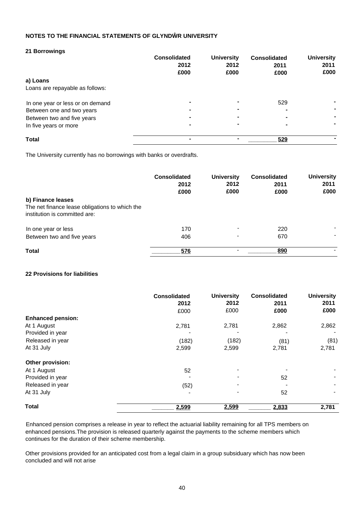#### **21 Borrowings**

|                                  | <b>Consolidated</b><br>2012 | <b>University</b><br>2012 | <b>Consolidated</b><br>2011 | <b>University</b><br>2011 |
|----------------------------------|-----------------------------|---------------------------|-----------------------------|---------------------------|
|                                  | £000                        | £000                      | £000                        | £000                      |
| a) Loans                         |                             |                           |                             |                           |
| Loans are repayable as follows:  |                             |                           |                             |                           |
| In one year or less or on demand | -                           |                           | 529                         |                           |
| Between one and two years        | $\blacksquare$              |                           | ۰                           |                           |
| Between two and five years       | ۰                           |                           |                             |                           |
| In five years or more            | -                           |                           |                             |                           |
| <b>Total</b>                     | -                           |                           | 529                         |                           |

The University currently has no borrowings with banks or overdrafts.

|                                                                                                      | <b>Consolidated</b><br>2012<br>£000 | <b>University</b><br>2012<br>£000 | <b>Consolidated</b><br>2011<br>£000 | <b>University</b><br>2011<br>£000 |
|------------------------------------------------------------------------------------------------------|-------------------------------------|-----------------------------------|-------------------------------------|-----------------------------------|
| b) Finance leases<br>The net finance lease obligations to which the<br>institution is committed are: |                                     |                                   |                                     |                                   |
| In one year or less<br>Between two and five years                                                    | 170<br>406                          | $\overline{\phantom{0}}$          | 220<br>670                          |                                   |
| <b>Total</b>                                                                                         | 576                                 |                                   | 890                                 |                                   |

## **22 Provisions for liabilities**

|                          | Consolidated<br>2012<br>£000 | <b>University</b><br>2012<br>£000 | <b>Consolidated</b><br>2011<br>£000 | <b>University</b><br>2011<br>£000 |
|--------------------------|------------------------------|-----------------------------------|-------------------------------------|-----------------------------------|
| <b>Enhanced pension:</b> |                              |                                   |                                     |                                   |
| At 1 August              | 2,781                        | 2,781                             | 2,862                               | 2,862                             |
| Provided in year         |                              |                                   |                                     |                                   |
| Released in year         | (182)                        | (182)                             | (81)                                | (81)                              |
| At 31 July               | 2,599                        | 2,599                             | 2,781                               | 2,781                             |
| Other provision:         |                              |                                   |                                     |                                   |
| At 1 August              | 52                           |                                   |                                     |                                   |
| Provided in year         |                              |                                   | 52                                  |                                   |
| Released in year         | (52)                         |                                   |                                     |                                   |
| At 31 July               |                              |                                   | 52                                  |                                   |
| <b>Total</b>             | 2,599                        | 2,599                             | 2,833                               | 2,781                             |

Enhanced pension comprises a release in year to reflect the actuarial liability remaining for all TPS members on enhanced pensions.The provision is released quarterly against the payments to the scheme members which continues for the duration of their scheme membership.

Other provisions provided for an anticipated cost from a legal claim in a group subsiduary which has now been concluded and will not arise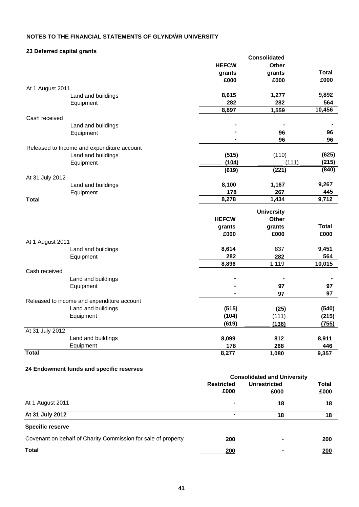### **23 Deferred capital grants**

| Lo Doion ou oupnur grunto |                                            |              | <b>Consolidated</b> |              |
|---------------------------|--------------------------------------------|--------------|---------------------|--------------|
|                           |                                            | <b>HEFCW</b> | <b>Other</b>        |              |
|                           |                                            | grants       | grants              | <b>Total</b> |
|                           |                                            | £000         | £000                | £000         |
| At 1 August 2011          |                                            |              |                     |              |
|                           | Land and buildings                         | 8,615        | 1,277               | 9,892        |
|                           | Equipment                                  | 282          | 282                 | 564          |
|                           |                                            | 8,897        | 1,559               | 10,456       |
| Cash received             |                                            |              |                     |              |
|                           | Land and buildings                         |              |                     |              |
|                           | Equipment                                  | ۰            | 96                  | 96           |
|                           |                                            |              | 96                  | 96           |
|                           | Released to Income and expenditure account |              |                     |              |
|                           | Land and buildings                         | (515)        | (110)               | (625)        |
|                           | Equipment                                  | (104)        | (111)               | (215)        |
|                           |                                            | (619)        | (221)               | (840)        |
| At 31 July 2012           |                                            |              |                     |              |
|                           | Land and buildings                         | 8,100        | 1,167               | 9,267        |
|                           | Equipment                                  | 178          | 267                 | 445          |
| <b>Total</b>              |                                            | 8,278        | 1,434               | 9,712        |
|                           |                                            |              | <b>University</b>   |              |
|                           |                                            | <b>HEFCW</b> | Other               |              |
|                           |                                            | grants       | grants              | <b>Total</b> |
|                           |                                            | £000         | £000                | £000         |
| At 1 August 2011          |                                            |              |                     |              |
|                           | Land and buildings                         | 8,614        | 837                 | 9,451        |
|                           | Equipment                                  | 282          | 282                 | 564          |
|                           |                                            | 8,896        | 1,119               | 10,015       |
| Cash received             |                                            |              |                     |              |
|                           | Land and buildings                         |              |                     |              |
|                           | Equipment                                  | ۰            | 97                  | 97           |
|                           |                                            |              | 97                  | 97           |
|                           | Released to income and expenditure account |              |                     |              |
|                           | Land and buildings                         | (515)        | (25)                | (540)        |
|                           | Equipment                                  | (104)        | (111)               | (215)        |
|                           |                                            | (619)        | (136)               | (755)        |
| At 31 July 2012           |                                            |              |                     |              |
|                           | Land and buildings                         | 8,099        | 812                 | 8,911        |
|                           | Equipment                                  | 178          | 268                 | 446          |
| <b>Total</b>              |                                            | 8,277        | 1,080               | 9,357        |

## **24 Endowment funds and specific reserves**

|                                                               | <b>Consolidated and University</b>       |      |       |  |
|---------------------------------------------------------------|------------------------------------------|------|-------|--|
|                                                               | <b>Restricted</b><br><b>Unrestricted</b> |      | Total |  |
|                                                               | £000                                     | £000 | £000  |  |
| At 1 August 2011                                              |                                          | 18   | 18    |  |
| At 31 July 2012                                               |                                          | 18   | 18    |  |
| <b>Specific reserve</b>                                       |                                          |      |       |  |
| Covenant on behalf of Charity Commission for sale of property | 200                                      | ٠    | 200   |  |
| <b>Total</b>                                                  | 200                                      |      | 200   |  |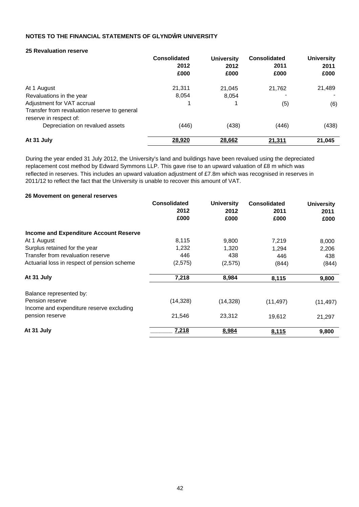#### **25 Revaluation reserve**

|                                              | <b>Consolidated</b> | <b>University</b> | <b>Consolidated</b> | <b>University</b> |
|----------------------------------------------|---------------------|-------------------|---------------------|-------------------|
|                                              | 2012                | 2012              | 2011                | 2011              |
|                                              | £000                | £000              | £000                | £000              |
| At 1 August                                  | 21.311              | 21.045            | 21,762              | 21,489            |
| Revaluations in the year                     | 8,054               | 8,054             |                     |                   |
| Adjustment for VAT accrual                   |                     | 1                 | (5)                 | (6)               |
| Transfer from revaluation reserve to general |                     |                   |                     |                   |
| reserve in respect of:                       |                     |                   |                     |                   |
| Depreciation on revalued assets              | (446)               | (438)             | (446)               | (438)             |
| At 31 July                                   | 28,920              | 28,662            | 21,311              | 21,045            |

During the year ended 31 July 2012, the University's land and buildings have been revalued using the depreciated replacement cost method by Edward Symmons LLP. This gave rise to an upward valuation of £8 m which was reflected in reserves. This includes an upward valuation adjustment of £7.8m which was recognised in reserves in 2011/12 to reflect the fact that the University is unable to recover this amount of VAT.

#### **26 Movement on general reserves**

|                                               | <b>Consolidated</b><br>2012<br>£000 | <b>University</b><br>2012<br>£000 | <b>Consolidated</b><br>2011<br>£000 | <b>University</b><br>2011<br>£000 |
|-----------------------------------------------|-------------------------------------|-----------------------------------|-------------------------------------|-----------------------------------|
| <b>Income and Expenditure Account Reserve</b> |                                     |                                   |                                     |                                   |
| At 1 August                                   | 8,115                               | 9,800                             | 7,219                               | 8,000                             |
| Surplus retained for the year                 | 1,232                               | 1,320                             | 1,294                               | 2,206                             |
| Transfer from revaluation reserve             | 446                                 | 438                               | 446                                 | 438                               |
| Actuarial loss in respect of pension scheme   | (2,575)                             | (2,575)                           | (844)                               | (844)                             |
| At 31 July                                    | 7,218                               | 8,984                             | 8,115                               | 9,800                             |
| Balance represented by:                       |                                     |                                   |                                     |                                   |
| Pension reserve                               | (14, 328)                           | (14, 328)                         | (11, 497)                           | (11, 497)                         |
| Income and expenditure reserve excluding      |                                     |                                   |                                     |                                   |
| pension reserve                               | 21,546                              | 23,312                            | 19,612                              | 21,297                            |
| At 31 July                                    | 7,218                               | 8,984                             | 8,115                               | 9,800                             |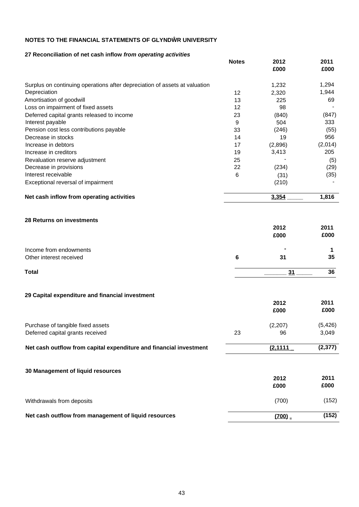### **27 Reconciliation of net cash inflow** *from operating activities*

|                                                                            | <b>Notes</b> | 2012<br>£000 | 2011<br>£000 |
|----------------------------------------------------------------------------|--------------|--------------|--------------|
| Surplus on continuing operations after depreciation of assets at valuation |              | 1,232        | 1,294        |
| Depreciation                                                               | 12           | 2,320        | 1,944        |
| Amortisation of goodwill                                                   | 13           | 225          | 69           |
| Loss on impairment of fixed assets                                         | 12           | 98           |              |
| Deferred capital grants released to income                                 | 23           | (840)        | (847)        |
| Interest payable                                                           | 9            | 504          | 333          |
| Pension cost less contributions payable                                    | 33           | (246)        | (55)         |
| Decrease in stocks                                                         | 14           | 19           | 956          |
| Increase in debtors                                                        | 17           | (2,896)      | (2,014)      |
| Increase in creditors                                                      | 19           | 3,413        | 205          |
| Revaluation reserve adjustment                                             | 25           |              | (5)          |
| Decrease in provisions                                                     | 22           | (234)        | (29)         |
| Interest receivable                                                        | 6            | (31)         | (35)         |
| Exceptional reversal of impairment                                         |              | (210)        |              |
| Net cash inflow from operating activities                                  |              | 3,354        | 1,816        |
| <b>28 Returns on investments</b>                                           |              | 2012         | 2011         |

|                         | ZUIZ<br>£000   | ZV I I<br>£000 |
|-------------------------|----------------|----------------|
| Income from endowments  | $\blacksquare$ |                |
| Other interest received | 31             | 35             |
| <b>Total</b>            |                | 36             |

### **29 Capital expenditure and financial investment**

|                                                                       |    | 2012<br>£000  | 2011<br>£000      |
|-----------------------------------------------------------------------|----|---------------|-------------------|
| Purchase of tangible fixed assets<br>Deferred capital grants received | 23 | (2,207)<br>96 | (5, 426)<br>3,049 |
| Net cash outflow from capital expenditure and financial investment    |    | (2, 1111)     | (2, 377)          |
| 30 Management of liquid resources                                     |    | 2012<br>£000  | 2011<br>£000      |
| Withdrawals from deposits                                             |    | (700)         | (152)             |
| Net cash outflow from management of liquid resources                  |    | (700)         | (152)             |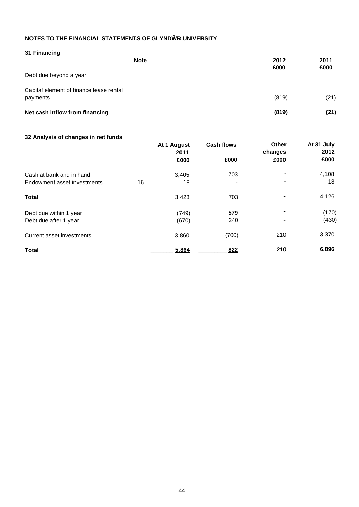| 31 Financing                                        | <b>Note</b> | 2012<br>£000 | 2011<br>£000 |
|-----------------------------------------------------|-------------|--------------|--------------|
| Debt due beyond a year:                             |             |              |              |
| Capita! element of finance lease rental<br>payments |             | (819)        | (21)         |
| Net cash inflow from financing                      |             | (819)        | (21)         |

## **32 Analysis of changes in net funds**

|                             |    | At 1 August<br>2011 | <b>Cash flows</b>        | Other<br>changes | At 31 July<br>2012 |
|-----------------------------|----|---------------------|--------------------------|------------------|--------------------|
|                             |    | £000                | £000                     | £000             | £000               |
| Cash at bank and in hand    |    | 3,405               | 703                      |                  | 4,108              |
| Endowment asset investments | 16 | 18                  | $\overline{\phantom{0}}$ |                  | 18                 |
| <b>Total</b>                |    | 3,423               | 703                      | ٠                | 4,126              |
| Debt due within 1 year      |    | (749)               | 579                      | ۰                | (170)              |
| Debt due after 1 year       |    | (670)               | 240                      |                  | (430)              |
| Current asset investments   |    | 3,860               | (700)                    | 210              | 3,370              |
| <b>Total</b>                |    | 5,864               | 822                      | 210              | 6,896              |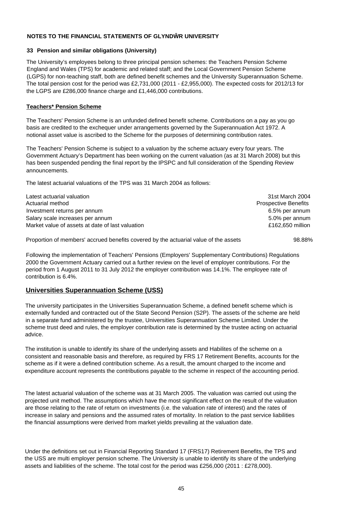#### **33 Pension and similar obligations (University)**

The University's employees belong to three principal pension schemes: the Teachers Pension Scheme England and Wales (TPS) for academic and related staff; and the Local Government Pension Scheme (LGPS) for non-teaching staff, both are defined benefit schemes and the University Superannuation Scheme. The total pension cost for the period was £2,731,000 (2011 - £2,955,000). The expected costs for 2012/13 for the LGPS are £286,000 finance charge and £1,446,000 contributions.

#### **Teachers\* Pension Scheme**

The Teachers' Pension Scheme is an unfunded defined benefit scheme. Contributions on a pay as you go basis are credited to the exchequer under arrangements governed by the Superannuation Act 1972. A notional asset value is ascribed to the Scheme for the purposes of determining contribution rates.

The Teachers' Pension Scheme is subject to a valuation by the scheme actuary every four years. The Government Actuary's Department has been working on the current valuation (as at 31 March 2008) but this has been suspended pending the final report by the IPSPC and full consideration of the Spending Review announcements.

The latest actuarial valuations of the TPS was 31 March 2004 as follows:

| Latest actuarial valuation                       | 31st March 2004             |
|--------------------------------------------------|-----------------------------|
| Actuarial method                                 | <b>Prospective Benefits</b> |
| Investment returns per annum                     | 6.5% per annum              |
| Salary scale increases per annum                 | 5.0% per annum              |
| Market value of assets at date of last valuation | £162.650 million            |
|                                                  |                             |

Proportion of members' accrued benefits covered by the actuarial value of the assets 98.88%

Following the implementation of Teachers' Pensions (Employers' Supplementary Contributions) Regulations 2000 the Government Actuary carried out a further review on the level of employer contributions. For the period from 1 August 2011 to 31 July 2012 the employer contribution was 14.1%. The employee rate of contribution is 6.4%.

## **Universities Superannuation Scheme (USS)**

The university participates in the Universities Superannuation Scheme, a defined benefit scheme which is externally funded and contracted out of the State Second Pension (S2P). The assets of the scheme are held in a separate fund administered by the trustee, Universities Superannuation Scheme Limited. Under the scheme trust deed and rules, the employer contribution rate is determined by the trustee acting on actuarial advice.

The institution is unable to identify its share of the underlying assets and Habilites of the scheme on a consistent and reasonable basis and therefore, as required by FRS 17 Retirement Benefits, accounts for the scheme as if it were a defined contribution scheme. As a result, the amount charged to the income and expenditure account represents the contributions payable to the scheme in respect of the accounting period.

The latest actuarial valuation of the scheme was at 31 March 2005. The valuation was carried out using the projected unit method. The assumptions which have the most significant effect on the result of the valuation are those relating to the rate of return on investments (i.e. the valuation rate of interest) and the rates of increase in salary and pensions and the assumed rates of mortality. In relation to the past service liabilities the financial assumptions were derived from market yields prevailing at the valuation date.

Under the definitions set out in Financial Reporting Standard 17 (FRS17) Retirement Benefits, the TPS and the USS are multi employer pension scheme. The University is unable to identify its share of the underlying assets and liabilities of the scheme. The total cost for the period was £256,000 (2011 : £278,000).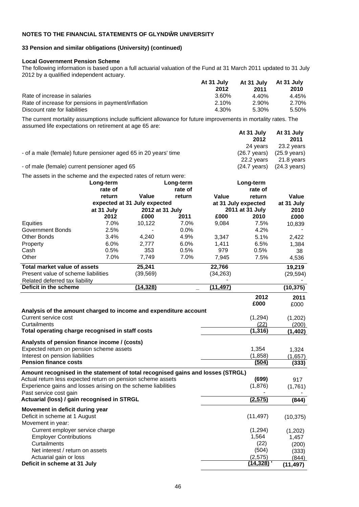#### **33 Pension and similar obligations (University) (continued)**

#### **Local Government Pension Scheme**

**Deficit in scheme at 31 July** 

The following information is based upon a full actuarial valuation of the Fund at 31 March 2011 updated to 31 July 2012 by a qualified independent actuary.

|                                                    | At 31 July | At 31 July At 31 July |       |
|----------------------------------------------------|------------|-----------------------|-------|
|                                                    | 2012       | 2011                  | 2010  |
| Rate of increase in salaries                       | 3.60%      | 4.40%                 | 4.45% |
| Rate of increase for pensions in payment/inflation | 2.10%      | 2.90%                 | 2.70% |
| Discount rate for liabilities                      | 4.30%      | 5.30%                 | 5.50% |

The current mortality assumptions include sufficient allowance for future improvements in mortality rates. The assumed life expectations on retirement at age 65 are:

|                                                                 | At 31 July             | At 31 July             |  |
|-----------------------------------------------------------------|------------------------|------------------------|--|
|                                                                 | 2012                   | 2011                   |  |
|                                                                 | 24 vears               | 23.2 years             |  |
| - of a male (female) future pensioner aged 65 in 20 years' time | $(26.7 \text{ years})$ | (25.9 years)           |  |
|                                                                 | 22.2 vears             | 21.8 years             |  |
| - of male (female) current pensioner aged 65                    | $(24.7 \text{ years})$ | $(24.3 \text{ years})$ |  |

The assets in the scheme and the expected rates of return were:

| Value<br>Value<br>Value<br>return<br>return<br>return<br>expected at 31 July expected<br>at 31 July expected<br>at 31 July<br>at 31 July<br>2012 at 31 July<br>2011 at 31 July<br>2010<br>2011<br>2012<br>£000<br>£000<br>2010<br>£000<br>7.0%<br>Equities<br>10,122<br>7.0%<br>9,084<br>7.5%<br>10,839<br>2.5%<br>0.0%<br>4.2%<br><b>Government Bonds</b><br>3.4%<br><b>Other Bonds</b><br>4,240<br>4.9%<br>5.1%<br>3,347<br>2,422<br>6.0%<br>6.5%<br>Property<br>6.0%<br>2,777<br>1,411<br>1,384 |       |
|----------------------------------------------------------------------------------------------------------------------------------------------------------------------------------------------------------------------------------------------------------------------------------------------------------------------------------------------------------------------------------------------------------------------------------------------------------------------------------------------------|-------|
|                                                                                                                                                                                                                                                                                                                                                                                                                                                                                                    |       |
|                                                                                                                                                                                                                                                                                                                                                                                                                                                                                                    |       |
|                                                                                                                                                                                                                                                                                                                                                                                                                                                                                                    |       |
|                                                                                                                                                                                                                                                                                                                                                                                                                                                                                                    |       |
|                                                                                                                                                                                                                                                                                                                                                                                                                                                                                                    |       |
|                                                                                                                                                                                                                                                                                                                                                                                                                                                                                                    |       |
|                                                                                                                                                                                                                                                                                                                                                                                                                                                                                                    |       |
|                                                                                                                                                                                                                                                                                                                                                                                                                                                                                                    |       |
| 0.5%<br>353<br>0.5%<br>0.5%<br>Cash<br>979                                                                                                                                                                                                                                                                                                                                                                                                                                                         | 38    |
| Other<br>7.0%<br>7,749<br>7.0%<br>7.5%<br>7,945<br>4,536                                                                                                                                                                                                                                                                                                                                                                                                                                           |       |
| 25,241<br><b>Total market value of assets</b><br>22,766<br>19,219                                                                                                                                                                                                                                                                                                                                                                                                                                  |       |
| Present value of scheme liabilities<br>(39, 569)<br>(34, 263)<br>(29, 594)                                                                                                                                                                                                                                                                                                                                                                                                                         |       |
| Related deferred tax liability                                                                                                                                                                                                                                                                                                                                                                                                                                                                     |       |
| Deficit in the scheme<br>(14, 328)<br>(11.497)<br>(10, 375)                                                                                                                                                                                                                                                                                                                                                                                                                                        |       |
| 2012                                                                                                                                                                                                                                                                                                                                                                                                                                                                                               | 2011  |
| £000<br>£000                                                                                                                                                                                                                                                                                                                                                                                                                                                                                       |       |
| Analysis of the amount charged to income and expenditure account                                                                                                                                                                                                                                                                                                                                                                                                                                   |       |
| (1, 294)<br>Current service cost<br>(1,202)                                                                                                                                                                                                                                                                                                                                                                                                                                                        |       |
| (22)<br>Curtailments                                                                                                                                                                                                                                                                                                                                                                                                                                                                               | (200) |
| Total operating charge recognised in staff costs<br>(1, 316)<br>(1, 402)                                                                                                                                                                                                                                                                                                                                                                                                                           |       |
| Analysts of pension finance income / (costs)                                                                                                                                                                                                                                                                                                                                                                                                                                                       |       |
| Expected return on pension scheme assets<br>1,354<br>1,324                                                                                                                                                                                                                                                                                                                                                                                                                                         |       |
| Interest on pension liabilities<br>(1,858)<br>(1,657)                                                                                                                                                                                                                                                                                                                                                                                                                                              |       |
| <b>Pension finance costs</b><br>(504)                                                                                                                                                                                                                                                                                                                                                                                                                                                              | (333) |
| Amount recognised in the statement of total recognised gains and losses (STRGL)                                                                                                                                                                                                                                                                                                                                                                                                                    |       |
| Actual return less expected return on pension scheme assets<br>(699)<br>917                                                                                                                                                                                                                                                                                                                                                                                                                        |       |
| Experience gains and losses arising on the scheme liabilities<br>(1,876)<br>(1,761)                                                                                                                                                                                                                                                                                                                                                                                                                |       |
| Past service cost gain                                                                                                                                                                                                                                                                                                                                                                                                                                                                             |       |
| (2, 575)<br>Actuarial (loss) / gain recognised in STRGL<br>(844)                                                                                                                                                                                                                                                                                                                                                                                                                                   |       |
| Movement in deficit during year                                                                                                                                                                                                                                                                                                                                                                                                                                                                    |       |
| Deficit in scheme at 1 August<br>(11, 497)<br>(10, 375)                                                                                                                                                                                                                                                                                                                                                                                                                                            |       |
| Movement in year:                                                                                                                                                                                                                                                                                                                                                                                                                                                                                  |       |
| Current employer service charge<br>(1, 294)<br>(1,202)                                                                                                                                                                                                                                                                                                                                                                                                                                             |       |
| <b>Employer Contributions</b><br>1,564<br>1,457                                                                                                                                                                                                                                                                                                                                                                                                                                                    |       |
| Curtailments<br>(22)                                                                                                                                                                                                                                                                                                                                                                                                                                                                               | (200) |
| (504)<br>Net interest / return on assets                                                                                                                                                                                                                                                                                                                                                                                                                                                           | (333) |

Actuarial gain or loss (2,575) (844<sup>)</sup><br> **Actuarial gain or loss** (844<sup>)</sup><br> **Actuarial gain or loss** (844<sup>)</sup> (11,497)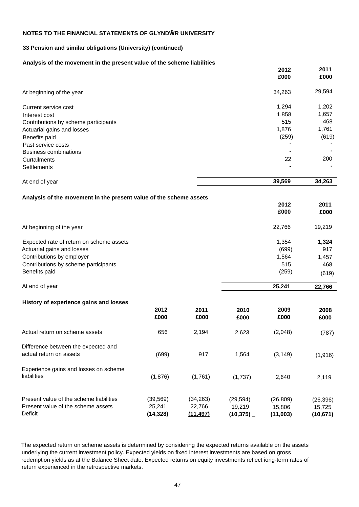#### **33 Pension and similar obligations (University) (continued)**

#### **Analysis of the movement in the present value of the scheme liabilities**

|                                                                    |              |              |              | 2012<br>£000 | 2011<br>£000 |
|--------------------------------------------------------------------|--------------|--------------|--------------|--------------|--------------|
| At beginning of the year                                           |              |              |              | 34,263       | 29,594       |
| Current service cost                                               |              |              |              | 1,294        | 1,202        |
| Interest cost                                                      |              |              |              | 1,858        | 1,657        |
| Contributions by scheme participants                               |              |              |              | 515          | 468          |
| Actuarial gains and losses                                         |              |              |              | 1,876        | 1,761        |
| Benefits paid                                                      |              |              |              | (259)        | (619)        |
| Past service costs                                                 |              |              |              |              |              |
| <b>Business combinations</b>                                       |              |              |              |              |              |
| Curtailments                                                       |              |              |              | 22           | 200          |
| Settlements                                                        |              |              |              |              |              |
| At end of year                                                     |              |              |              | 39,569       | 34,263       |
| Analysis of the movement in the present value of the scheme assets |              |              |              |              |              |
|                                                                    |              |              |              | 2012         | 2011         |
|                                                                    |              |              |              | £000         | £000         |
| At beginning of the year                                           |              |              |              | 22,766       | 19,219       |
| Expected rate of return on scheme assets                           |              |              |              | 1,354        | 1,324        |
| Actuarial gains and losses                                         |              |              |              | (699)        | 917          |
| Contributions by employer                                          |              |              |              | 1,564        | 1,457        |
| Contributions by scheme participants                               |              |              |              | 515          | 468          |
| Benefits paid                                                      |              |              |              | (259)        | (619)        |
| At end of year                                                     |              |              |              | 25,241       | 22,766       |
| History of experience gains and losses                             |              |              |              |              |              |
|                                                                    | 2012<br>£000 | 2011<br>£000 | 2010<br>£000 | 2009<br>£000 | 2008<br>£000 |
| Actual return on scheme assets                                     | 656          | 2,194        | 2,623        | (2,048)      | (787)        |
| Difference between the expected and                                |              |              |              |              |              |
| actual return on assets                                            | (699)        | 917          | 1,564        | (3, 149)     | (1,916)      |
| Experience gains and losses on scheme                              |              |              |              |              |              |
| liabilities                                                        | (1,876)      | (1,761)      | (1,737)      | 2,640        | 2,119        |
| Present value of the scheme liabilities                            | (39, 569)    | (34, 263)    | (29, 594)    | (26, 809)    | (26, 396)    |
| Present value of the scheme assets                                 | 25,241       | 22,766       | 19,219       | 15,806       | 15,725       |
| Deficit                                                            | (14, 328)    | (11, 497)    | (10, 375)    | (11,003)     | (10, 671)    |

The expected return on scheme assets is determined by considering the expected returns available on the assets underlying the current investment policy. Expected yields on fixed interest investments are based on gross redemption yields as at the Balance Sheet date. Expected returns on equity investments reflect iong-term rates of return experienced in the retrospective markets.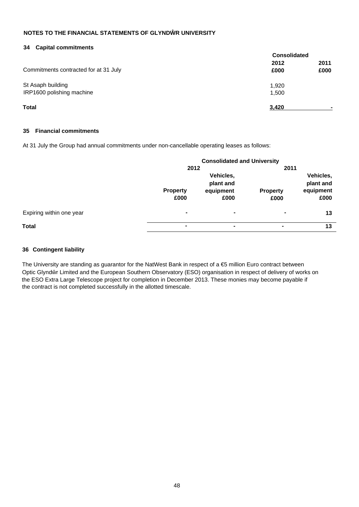#### **34 Capital commitments**

|                                       | <b>Consolidated</b> |              |  |
|---------------------------------------|---------------------|--------------|--|
| Commitments contracted for at 31 July | 2012<br>£000        | 2011<br>£000 |  |
| St Asaph building                     | 1,920               |              |  |
| IRP1600 polishing machine             | 1,500               |              |  |
| <b>Total</b>                          | 3,420               |              |  |

#### **35 Financial commitments**

At 31 July the Group had annual commitments under non-cancellable operating leases as follows:

|                          | <b>Consolidated and University</b> |           |                 |           |
|--------------------------|------------------------------------|-----------|-----------------|-----------|
|                          | 2012                               |           | 2011            |           |
|                          |                                    | Vehicles, |                 | Vehicles, |
|                          |                                    | plant and |                 | plant and |
|                          | <b>Property</b>                    | equipment | <b>Property</b> | equipment |
|                          | £000                               | £000      | £000            | £000      |
| Expiring within one year | ۰                                  | ۰         |                 | 13        |
| <b>Total</b>             | -                                  | ۰         | ٠               | 13        |

#### **36 Contingent liability**

The University are standing as guarantor for the NatWest Bank in respect of a  $\bigoplus$  million Euro contract between Optic Glynd r Limited and the European Southern Observatory (ESO) organisation in respect of delivery of works on the ESO Extra Large Telescope project for completion in December 2013. These monies may become payable if the contract is not completed successfully in the allotted timescale.